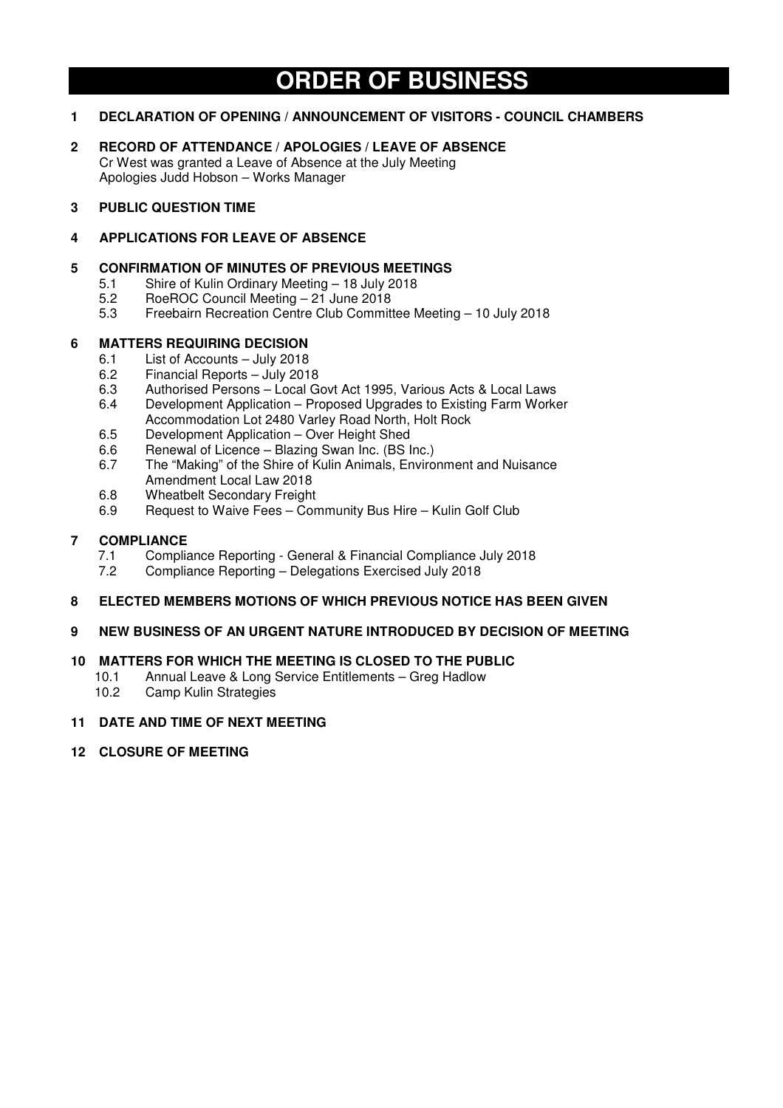# **ORDER OF BUSINESS**

## **1 DECLARATION OF OPENING / ANNOUNCEMENT OF VISITORS - COUNCIL CHAMBERS**

**2 RECORD OF ATTENDANCE / APOLOGIES / LEAVE OF ABSENCE**  Cr West was granted a Leave of Absence at the July Meeting Apologies Judd Hobson – Works Manager

## **3 PUBLIC QUESTION TIME**

## **4 APPLICATIONS FOR LEAVE OF ABSENCE**

## **5 CONFIRMATION OF MINUTES OF PREVIOUS MEETINGS**

- 5.1 Shire of Kulin Ordinary Meeting 18 July 2018<br>5.2 BoeBOC Council Meeting 21 June 2018
- 5.2 RoeROC Council Meeting 21 June 2018
- 5.3 Freebairn Recreation Centre Club Committee Meeting 10 July 2018

## **6 MATTERS REQUIRING DECISION**

- 6.1 List of Accounts July 2018
- 6.2 Financial Reports July 2018<br>6.3 Authorised Persons Local G
- 6.3 Authorised Persons Local Govt Act 1995, Various Acts & Local Laws
- 6.4 Development Application Proposed Upgrades to Existing Farm Worker Accommodation Lot 2480 Varley Road North, Holt Rock
- 6.5 Development Application Over Height Shed
- 6.6 Renewal of Licence Blazing Swan Inc. (BS Inc.)
- 6.7 The "Making" of the Shire of Kulin Animals, Environment and Nuisance Amendment Local Law 2018
- 6.8 Wheatbelt Secondary Freight<br>6.9 Request to Waive Fees Cor
- Request to Waive Fees Community Bus Hire Kulin Golf Club

# **7 COMPLIANCE**

- 7.1 Compliance Reporting General & Financial Compliance July 2018<br>7.2 Compliance Reporting Delegations Exercised July 2018
- 7.2 Compliance Reporting Delegations Exercised July 2018

## **8 ELECTED MEMBERS MOTIONS OF WHICH PREVIOUS NOTICE HAS BEEN GIVEN**

## **9 NEW BUSINESS OF AN URGENT NATURE INTRODUCED BY DECISION OF MEETING**

## **10 MATTERS FOR WHICH THE MEETING IS CLOSED TO THE PUBLIC**

- 10.1 Annual Leave & Long Service Entitlements Greg Hadlow
- 10.2 Camp Kulin Strategies

## **11 DATE AND TIME OF NEXT MEETING**

## **12 CLOSURE OF MEETING**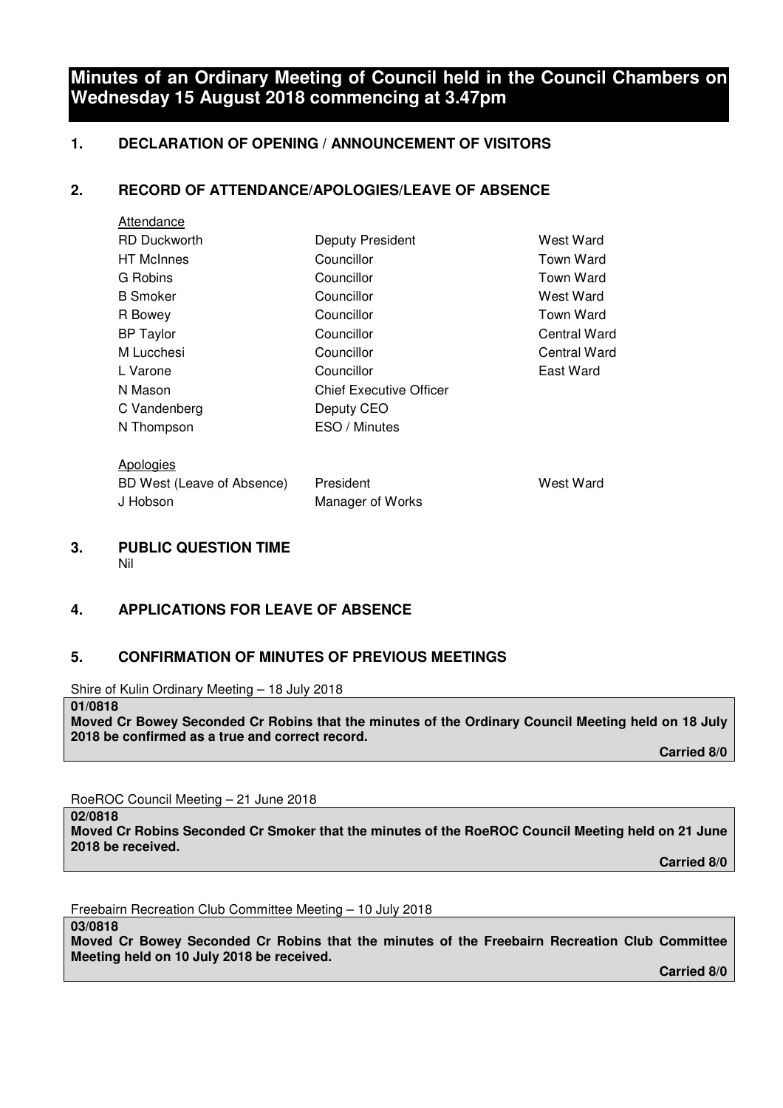## **Minutes of an Ordinary Meeting of Council held in the Council Chambers on Wednesday 15 August 2018 commencing at 3.47pm**

## **1. DECLARATION OF OPENING / ANNOUNCEMENT OF VISITORS**

## **2. RECORD OF ATTENDANCE/APOLOGIES/LEAVE OF ABSENCE**

| Attendance                 |                                |                  |
|----------------------------|--------------------------------|------------------|
| <b>RD Duckworth</b>        | Deputy President               | West Ward        |
| <b>HT</b> McInnes          | Councillor                     | Town Ward        |
| G Robins                   | Councillor                     | <b>Town Ward</b> |
| <b>B</b> Smoker            | Councillor                     | West Ward        |
| R Bowey                    | Councillor                     | <b>Town Ward</b> |
| <b>BP Taylor</b>           | Councillor                     | Central Ward     |
| M Lucchesi                 | Councillor                     | Central Ward     |
| L Varone                   | Councillor                     | East Ward        |
| N Mason                    | <b>Chief Executive Officer</b> |                  |
| C Vandenberg               | Deputy CEO                     |                  |
| N Thompson                 | ESO / Minutes                  |                  |
| Apologies                  |                                |                  |
| BD West (Leave of Absence) | President                      | West Ward        |

**3. PUBLIC QUESTION TIME**  Nil

## **4. APPLICATIONS FOR LEAVE OF ABSENCE**

J Hobson Manager of Works

## **5. CONFIRMATION OF MINUTES OF PREVIOUS MEETINGS**

Shire of Kulin Ordinary Meeting – 18 July 2018

**Moved Cr Bowey Seconded Cr Robins that the minutes of the Ordinary Council Meeting held on 18 July 2018 be confirmed as a true and correct record.** 

 **Carried 8/0** 

RoeROC Council Meeting – 21 June 2018

**02/0818** 

**01/0818** 

**Moved Cr Robins Seconded Cr Smoker that the minutes of the RoeROC Council Meeting held on 21 June 2018 be received.** 

 **Carried 8/0** 

Freebairn Recreation Club Committee Meeting – 10 July 2018

**03/0818** 

**Moved Cr Bowey Seconded Cr Robins that the minutes of the Freebairn Recreation Club Committee Meeting held on 10 July 2018 be received.** 

 **Carried 8/0**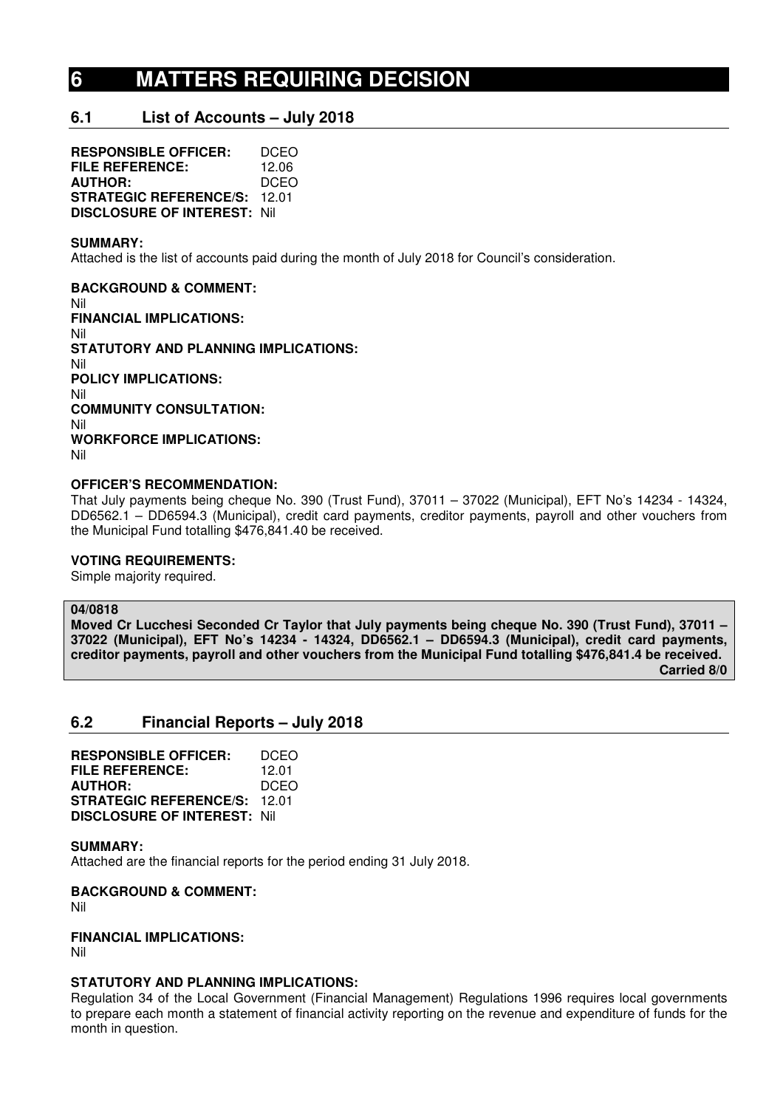# **6 MATTERS REQUIRING DECISION**

## **6.1 List of Accounts – July 2018**

**RESPONSIBLE OFFICER:** DCEO **FILE REFERENCE:** 12.06<br>**AUTHOR:** DCEO **AUTHOR: STRATEGIC REFERENCE/S:** 12.01 **DISCLOSURE OF INTEREST:** Nil

#### **SUMMARY:**

Attached is the list of accounts paid during the month of July 2018 for Council's consideration.

**BACKGROUND & COMMENT:**  Nil **FINANCIAL IMPLICATIONS:**  Nil **STATUTORY AND PLANNING IMPLICATIONS:**  Nil **POLICY IMPLICATIONS:**  Nil **COMMUNITY CONSULTATION:**  Nil **WORKFORCE IMPLICATIONS:**  Nil

## **OFFICER'S RECOMMENDATION:**

That July payments being cheque No. 390 (Trust Fund), 37011 – 37022 (Municipal), EFT No's 14234 - 14324, DD6562.1 – DD6594.3 (Municipal), credit card payments, creditor payments, payroll and other vouchers from the Municipal Fund totalling \$476,841.40 be received.

#### **VOTING REQUIREMENTS:**

Simple majority required.

#### **04/0818**

**Moved Cr Lucchesi Seconded Cr Taylor that July payments being cheque No. 390 (Trust Fund), 37011 – 37022 (Municipal), EFT No's 14234 - 14324, DD6562.1 – DD6594.3 (Municipal), credit card payments, creditor payments, payroll and other vouchers from the Municipal Fund totalling \$476,841.4 be received. Carried 8/0** 

## **6.2 Financial Reports – July 2018**

**RESPONSIBLE OFFICER:** DCEO **FILE REFERENCE:** 12.01 **AUTHOR:** DCEO **STRATEGIC REFERENCE/S:** 12.01 **DISCLOSURE OF INTEREST:** Nil

#### **SUMMARY:**

Attached are the financial reports for the period ending 31 July 2018.

**BACKGROUND & COMMENT:** 

Nil

#### **FINANCIAL IMPLICATIONS:**

Nil

## **STATUTORY AND PLANNING IMPLICATIONS:**

Regulation 34 of the Local Government (Financial Management) Regulations 1996 requires local governments to prepare each month a statement of financial activity reporting on the revenue and expenditure of funds for the month in question.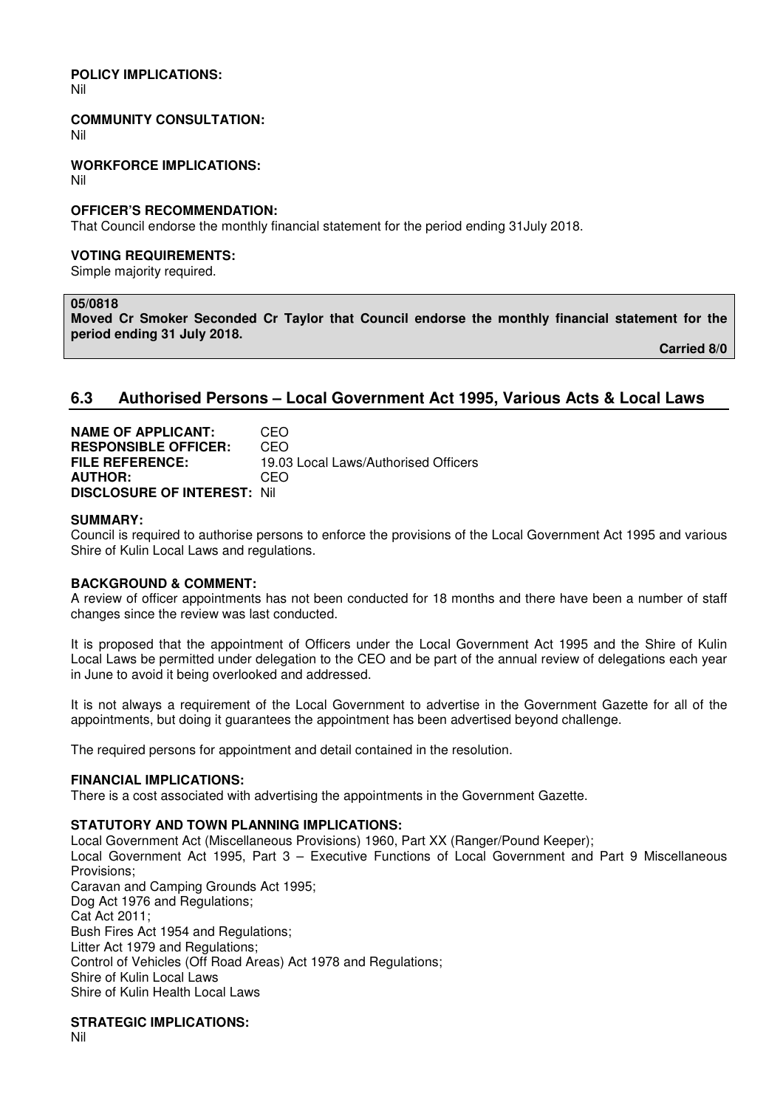# **POLICY IMPLICATIONS:**

Nil

**COMMUNITY CONSULTATION:** 

Nil

**WORKFORCE IMPLICATIONS:** 

Nil

#### **OFFICER'S RECOMMENDATION:**

That Council endorse the monthly financial statement for the period ending 31July 2018.

#### **VOTING REQUIREMENTS:**

Simple majority required.

## **05/0818**

**Moved Cr Smoker Seconded Cr Taylor that Council endorse the monthly financial statement for the period ending 31 July 2018.** 

 **Carried 8/0** 

## **6.3 Authorised Persons – Local Government Act 1995, Various Acts & Local Laws**

**NAME OF APPLICANT:** CEO **RESPONSIBLE OFFICER:** CEO **FILE REFERENCE:** 19.03 Local Laws/Authorised Officers **AUTHOR:** CEO **DISCLOSURE OF INTEREST:** Nil

#### **SUMMARY:**

Council is required to authorise persons to enforce the provisions of the Local Government Act 1995 and various Shire of Kulin Local Laws and regulations.

## **BACKGROUND & COMMENT:**

A review of officer appointments has not been conducted for 18 months and there have been a number of staff changes since the review was last conducted.

It is proposed that the appointment of Officers under the Local Government Act 1995 and the Shire of Kulin Local Laws be permitted under delegation to the CEO and be part of the annual review of delegations each year in June to avoid it being overlooked and addressed.

It is not always a requirement of the Local Government to advertise in the Government Gazette for all of the appointments, but doing it guarantees the appointment has been advertised beyond challenge.

The required persons for appointment and detail contained in the resolution.

#### **FINANCIAL IMPLICATIONS:**

There is a cost associated with advertising the appointments in the Government Gazette.

#### **STATUTORY AND TOWN PLANNING IMPLICATIONS:**

Local Government Act (Miscellaneous Provisions) 1960, Part XX (Ranger/Pound Keeper); Local Government Act 1995, Part 3 – Executive Functions of Local Government and Part 9 Miscellaneous Provisions; Caravan and Camping Grounds Act 1995; Dog Act 1976 and Regulations: Cat Act 2011; Bush Fires Act 1954 and Regulations; Litter Act 1979 and Regulations; Control of Vehicles (Off Road Areas) Act 1978 and Regulations; Shire of Kulin Local Laws Shire of Kulin Health Local Laws

**STRATEGIC IMPLICATIONS:** 

Nil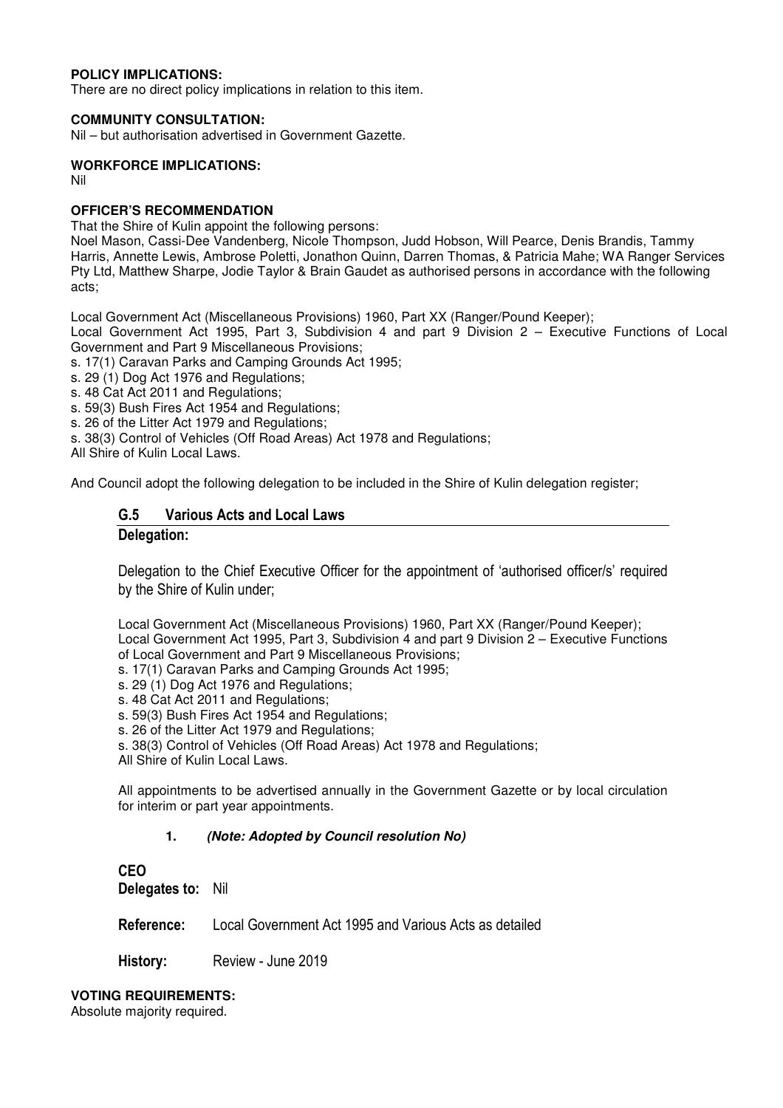## **POLICY IMPLICATIONS:**

There are no direct policy implications in relation to this item.

#### **COMMUNITY CONSULTATION:**

Nil – but authorisation advertised in Government Gazette.

## **WORKFORCE IMPLICATIONS:**

Nil

## **OFFICER'S RECOMMENDATION**

That the Shire of Kulin appoint the following persons:

Noel Mason, Cassi-Dee Vandenberg, Nicole Thompson, Judd Hobson, Will Pearce, Denis Brandis, Tammy Harris, Annette Lewis, Ambrose Poletti, Jonathon Quinn, Darren Thomas, & Patricia Mahe; WA Ranger Services Pty Ltd, Matthew Sharpe, Jodie Taylor & Brain Gaudet as authorised persons in accordance with the following acts;

Local Government Act (Miscellaneous Provisions) 1960, Part XX (Ranger/Pound Keeper);

Local Government Act 1995, Part 3, Subdivision 4 and part 9 Division 2 – Executive Functions of Local Government and Part 9 Miscellaneous Provisions;

s. 17(1) Caravan Parks and Camping Grounds Act 1995;

- s. 29 (1) Dog Act 1976 and Regulations;
- s. 48 Cat Act 2011 and Regulations;
- s. 59(3) Bush Fires Act 1954 and Regulations;
- s. 26 of the Litter Act 1979 and Regulations;
- s. 38(3) Control of Vehicles (Off Road Areas) Act 1978 and Regulations;

All Shire of Kulin Local Laws.

And Council adopt the following delegation to be included in the Shire of Kulin delegation register;

## **G.5 Various Acts and Local Laws**

## **Delegation:**

Delegation to the Chief Executive Officer for the appointment of 'authorised officer/s' required by the Shire of Kulin under;

Local Government Act (Miscellaneous Provisions) 1960, Part XX (Ranger/Pound Keeper); Local Government Act 1995, Part 3, Subdivision 4 and part 9 Division 2 – Executive Functions of Local Government and Part 9 Miscellaneous Provisions;

- s. 17(1) Caravan Parks and Camping Grounds Act 1995;
- s. 29 (1) Dog Act 1976 and Regulations;
- s. 48 Cat Act 2011 and Regulations;
- s. 59(3) Bush Fires Act 1954 and Regulations;
- s. 26 of the Litter Act 1979 and Regulations;

s. 38(3) Control of Vehicles (Off Road Areas) Act 1978 and Regulations;

All Shire of Kulin Local Laws.

All appointments to be advertised annually in the Government Gazette or by local circulation for interim or part year appointments.

## **1. (Note: Adopted by Council resolution No)**

**CEO Delegates to:** Nil

**Reference:** Local Government Act 1995 and Various Acts as detailed

**History:** Review - June 2019

**VOTING REQUIREMENTS:** 

Absolute majority required.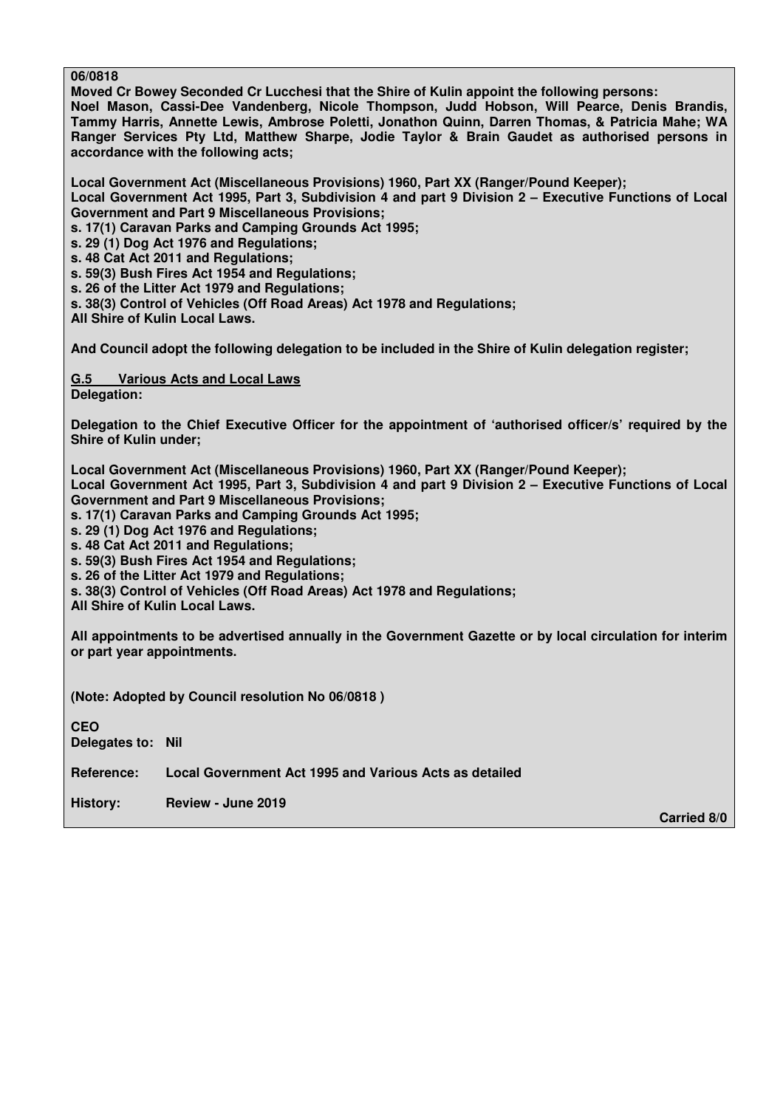**06/0818** 

**Moved Cr Bowey Seconded Cr Lucchesi that the Shire of Kulin appoint the following persons: Noel Mason, Cassi-Dee Vandenberg, Nicole Thompson, Judd Hobson, Will Pearce, Denis Brandis, Tammy Harris, Annette Lewis, Ambrose Poletti, Jonathon Quinn, Darren Thomas, & Patricia Mahe; WA Ranger Services Pty Ltd, Matthew Sharpe, Jodie Taylor & Brain Gaudet as authorised persons in accordance with the following acts;** 

**Local Government Act (Miscellaneous Provisions) 1960, Part XX (Ranger/Pound Keeper); Local Government Act 1995, Part 3, Subdivision 4 and part 9 Division 2 – Executive Functions of Local Government and Part 9 Miscellaneous Provisions;** 

**s. 17(1) Caravan Parks and Camping Grounds Act 1995;** 

**s. 29 (1) Dog Act 1976 and Regulations;** 

**s. 48 Cat Act 2011 and Regulations;** 

**s. 59(3) Bush Fires Act 1954 and Regulations;** 

**s. 26 of the Litter Act 1979 and Regulations;** 

**s. 38(3) Control of Vehicles (Off Road Areas) Act 1978 and Regulations;** 

**All Shire of Kulin Local Laws.** 

**And Council adopt the following delegation to be included in the Shire of Kulin delegation register;** 

**G.5 Various Acts and Local Laws Delegation:** 

**Delegation to the Chief Executive Officer for the appointment of 'authorised officer/s' required by the Shire of Kulin under;** 

**Local Government Act (Miscellaneous Provisions) 1960, Part XX (Ranger/Pound Keeper);** 

**Local Government Act 1995, Part 3, Subdivision 4 and part 9 Division 2 – Executive Functions of Local Government and Part 9 Miscellaneous Provisions;** 

**s. 17(1) Caravan Parks and Camping Grounds Act 1995;** 

**s. 29 (1) Dog Act 1976 and Regulations;** 

**s. 48 Cat Act 2011 and Regulations;** 

**s. 59(3) Bush Fires Act 1954 and Regulations;** 

**s. 26 of the Litter Act 1979 and Regulations;** 

**s. 38(3) Control of Vehicles (Off Road Areas) Act 1978 and Regulations;** 

**All Shire of Kulin Local Laws.** 

**All appointments to be advertised annually in the Government Gazette or by local circulation for interim or part year appointments.** 

**(Note: Adopted by Council resolution No 06/0818 )** 

**CEO Delegates to: Nil Reference: Local Government Act 1995 and Various Acts as detailed History: Review - June 2019** 

 **Carried 8/0**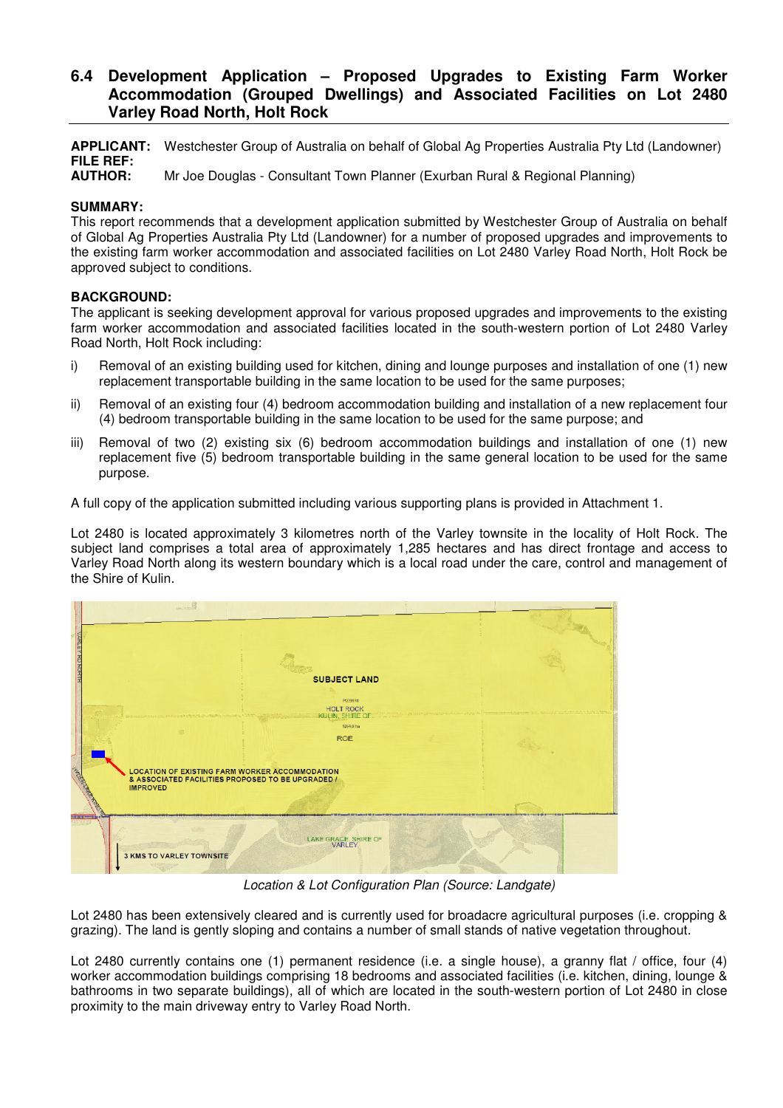## **6.4 Development Application – Proposed Upgrades to Existing Farm Worker Accommodation (Grouped Dwellings) and Associated Facilities on Lot 2480 Varley Road North, Holt Rock**

**APPLICANT:** Westchester Group of Australia on behalf of Global Ag Properties Australia Pty Ltd (Landowner) **FILE REF:** 

**Mr Joe Douglas - Consultant Town Planner (Exurban Rural & Regional Planning)** 

## **SUMMARY:**

This report recommends that a development application submitted by Westchester Group of Australia on behalf of Global Ag Properties Australia Pty Ltd (Landowner) for a number of proposed upgrades and improvements to the existing farm worker accommodation and associated facilities on Lot 2480 Varley Road North, Holt Rock be approved subject to conditions.

## **BACKGROUND:**

The applicant is seeking development approval for various proposed upgrades and improvements to the existing farm worker accommodation and associated facilities located in the south-western portion of Lot 2480 Varley Road North, Holt Rock including:

- i) Removal of an existing building used for kitchen, dining and lounge purposes and installation of one (1) new replacement transportable building in the same location to be used for the same purposes;
- ii) Removal of an existing four (4) bedroom accommodation building and installation of a new replacement four (4) bedroom transportable building in the same location to be used for the same purpose; and
- iii) Removal of two (2) existing six (6) bedroom accommodation buildings and installation of one (1) new replacement five (5) bedroom transportable building in the same general location to be used for the same purpose.

A full copy of the application submitted including various supporting plans is provided in Attachment 1.

Lot 2480 is located approximately 3 kilometres north of the Varley townsite in the locality of Holt Rock. The subject land comprises a total area of approximately 1,285 hectares and has direct frontage and access to Varley Road North along its western boundary which is a local road under the care, control and management of the Shire of Kulin.

|              | $m = 1$                                                                                                                       | <b>SUBJECT LAND</b><br>P209978                                 |  |
|--------------|-------------------------------------------------------------------------------------------------------------------------------|----------------------------------------------------------------|--|
| <b>TABLE</b> | <b>LOCATION OF EXISTING FARM WORKER ACCOMMODATION</b><br>& ASSOCIATED FACILITIES PROPOSED TO BE UPGRADED /<br><b>IMPROVED</b> | <b>HOLT ROCK</b><br>KULIN, SHIRE OF<br>1284.9 ha<br><b>ROE</b> |  |
| ---          | 3 KMS TO VARLEY TOWNSITE                                                                                                      | LAKE GRACE, SHIRE OF                                           |  |

*Location & Lot Configuration Plan (Source: Landgate)* 

Lot 2480 has been extensively cleared and is currently used for broadacre agricultural purposes (i.e. cropping & grazing). The land is gently sloping and contains a number of small stands of native vegetation throughout.

Lot 2480 currently contains one (1) permanent residence (i.e. a single house), a granny flat / office, four (4) worker accommodation buildings comprising 18 bedrooms and associated facilities (i.e. kitchen, dining, lounge & bathrooms in two separate buildings), all of which are located in the south-western portion of Lot 2480 in close proximity to the main driveway entry to Varley Road North.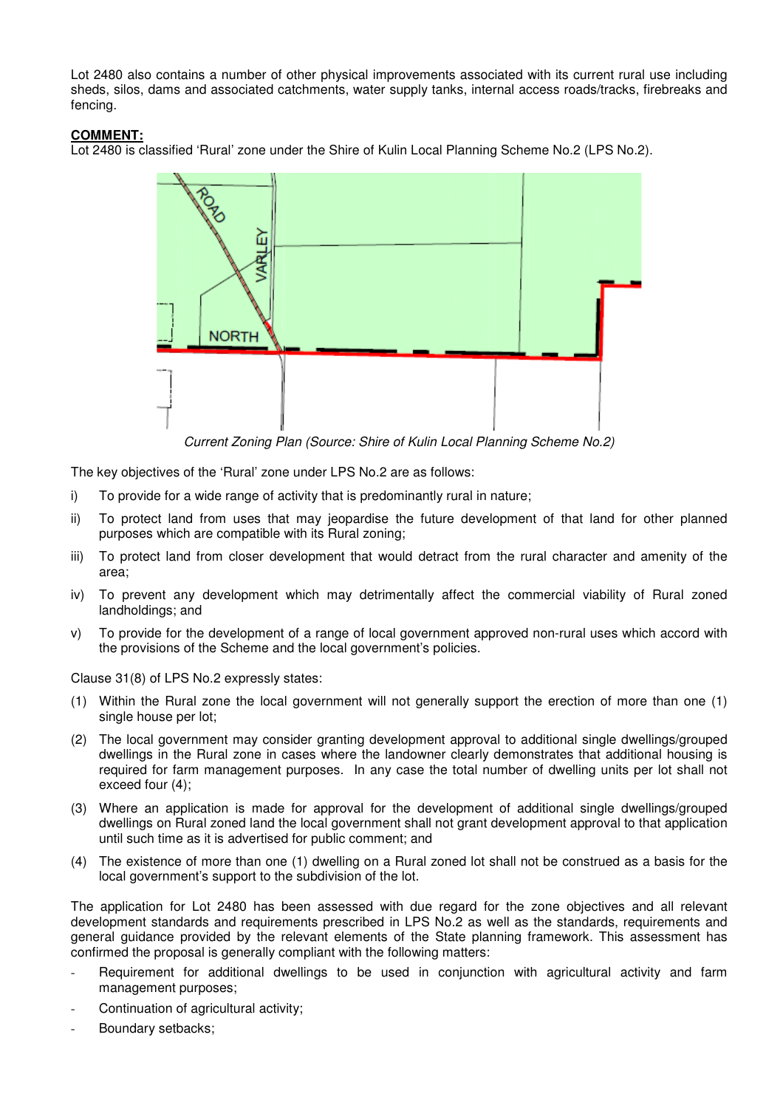Lot 2480 also contains a number of other physical improvements associated with its current rural use including sheds, silos, dams and associated catchments, water supply tanks, internal access roads/tracks, firebreaks and fencing.

## **COMMENT:**

Lot 2480 is classified 'Rural' zone under the Shire of Kulin Local Planning Scheme No.2 (LPS No.2).



*Current Zoning Plan (Source: Shire of Kulin Local Planning Scheme No.2)* 

The key objectives of the 'Rural' zone under LPS No.2 are as follows:

- i) To provide for a wide range of activity that is predominantly rural in nature;
- ii) To protect land from uses that may jeopardise the future development of that land for other planned purposes which are compatible with its Rural zoning;
- iii) To protect land from closer development that would detract from the rural character and amenity of the area;
- iv) To prevent any development which may detrimentally affect the commercial viability of Rural zoned landholdings; and
- v) To provide for the development of a range of local government approved non-rural uses which accord with the provisions of the Scheme and the local government's policies.

Clause 31(8) of LPS No.2 expressly states:

- (1) Within the Rural zone the local government will not generally support the erection of more than one (1) single house per lot;
- (2) The local government may consider granting development approval to additional single dwellings/grouped dwellings in the Rural zone in cases where the landowner clearly demonstrates that additional housing is required for farm management purposes. In any case the total number of dwelling units per lot shall not exceed four (4);
- (3) Where an application is made for approval for the development of additional single dwellings/grouped dwellings on Rural zoned land the local government shall not grant development approval to that application until such time as it is advertised for public comment; and
- (4) The existence of more than one (1) dwelling on a Rural zoned lot shall not be construed as a basis for the local government's support to the subdivision of the lot.

The application for Lot 2480 has been assessed with due regard for the zone objectives and all relevant development standards and requirements prescribed in LPS No.2 as well as the standards, requirements and general guidance provided by the relevant elements of the State planning framework. This assessment has confirmed the proposal is generally compliant with the following matters:

- Requirement for additional dwellings to be used in conjunction with agricultural activity and farm management purposes;
- Continuation of agricultural activity;
- Boundary setbacks;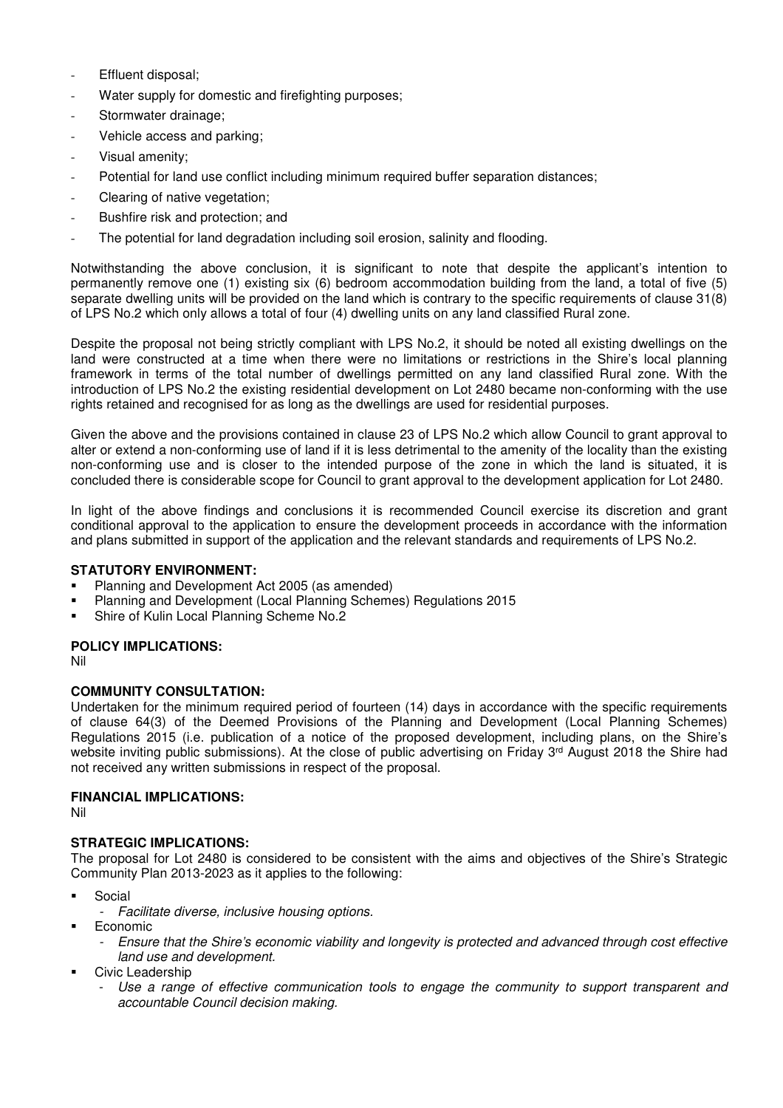- Effluent disposal;
- Water supply for domestic and firefighting purposes;
- Stormwater drainage;
- Vehicle access and parking;
- Visual amenity;
- Potential for land use conflict including minimum required buffer separation distances;
- Clearing of native vegetation;
- Bushfire risk and protection; and
- The potential for land degradation including soil erosion, salinity and flooding.

Notwithstanding the above conclusion, it is significant to note that despite the applicant's intention to permanently remove one (1) existing six (6) bedroom accommodation building from the land, a total of five (5) separate dwelling units will be provided on the land which is contrary to the specific requirements of clause 31(8) of LPS No.2 which only allows a total of four (4) dwelling units on any land classified Rural zone.

Despite the proposal not being strictly compliant with LPS No.2, it should be noted all existing dwellings on the land were constructed at a time when there were no limitations or restrictions in the Shire's local planning framework in terms of the total number of dwellings permitted on any land classified Rural zone. With the introduction of LPS No.2 the existing residential development on Lot 2480 became non-conforming with the use rights retained and recognised for as long as the dwellings are used for residential purposes.

Given the above and the provisions contained in clause 23 of LPS No.2 which allow Council to grant approval to alter or extend a non-conforming use of land if it is less detrimental to the amenity of the locality than the existing non-conforming use and is closer to the intended purpose of the zone in which the land is situated, it is concluded there is considerable scope for Council to grant approval to the development application for Lot 2480.

In light of the above findings and conclusions it is recommended Council exercise its discretion and grant conditional approval to the application to ensure the development proceeds in accordance with the information and plans submitted in support of the application and the relevant standards and requirements of LPS No.2.

## **STATUTORY ENVIRONMENT:**

- Planning and Development Act 2005 (as amended)
- Planning and Development (Local Planning Schemes) Regulations 2015
- Shire of Kulin Local Planning Scheme No.2

## **POLICY IMPLICATIONS:**

Nil

## **COMMUNITY CONSULTATION:**

Undertaken for the minimum required period of fourteen (14) days in accordance with the specific requirements of clause 64(3) of the Deemed Provisions of the Planning and Development (Local Planning Schemes) Regulations 2015 (i.e. publication of a notice of the proposed development, including plans, on the Shire's website inviting public submissions). At the close of public advertising on Friday 3<sup>rd</sup> August 2018 the Shire had not received any written submissions in respect of the proposal.

## **FINANCIAL IMPLICATIONS:**

Nil

## **STRATEGIC IMPLICATIONS:**

The proposal for Lot 2480 is considered to be consistent with the aims and objectives of the Shire's Strategic Community Plan 2013-2023 as it applies to the following:

- Social
	- *Facilitate diverse, inclusive housing options.*
- Economic
	- *Ensure that the Shire's economic viability and longevity is protected and advanced through cost effective land use and development.*
- Civic Leadership
	- Use a range of effective communication tools to engage the community to support transparent and *accountable Council decision making.*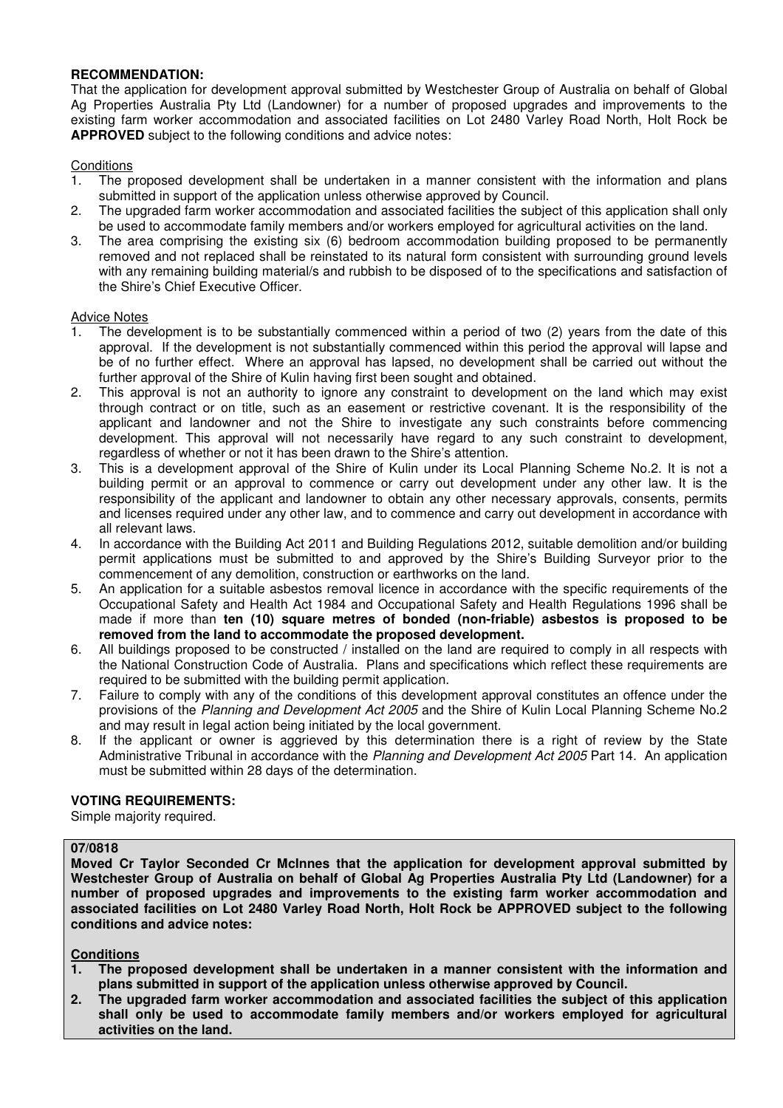## **RECOMMENDATION:**

That the application for development approval submitted by Westchester Group of Australia on behalf of Global Ag Properties Australia Pty Ltd (Landowner) for a number of proposed upgrades and improvements to the existing farm worker accommodation and associated facilities on Lot 2480 Varley Road North, Holt Rock be **APPROVED** subject to the following conditions and advice notes:

## **Conditions**

- 1. The proposed development shall be undertaken in a manner consistent with the information and plans submitted in support of the application unless otherwise approved by Council.
- 2. The upgraded farm worker accommodation and associated facilities the subject of this application shall only be used to accommodate family members and/or workers employed for agricultural activities on the land.
- 3. The area comprising the existing six (6) bedroom accommodation building proposed to be permanently removed and not replaced shall be reinstated to its natural form consistent with surrounding ground levels with any remaining building material/s and rubbish to be disposed of to the specifications and satisfaction of the Shire's Chief Executive Officer.

#### Advice Notes

- 1. The development is to be substantially commenced within a period of two (2) years from the date of this approval. If the development is not substantially commenced within this period the approval will lapse and be of no further effect. Where an approval has lapsed, no development shall be carried out without the further approval of the Shire of Kulin having first been sought and obtained.
- 2. This approval is not an authority to ignore any constraint to development on the land which may exist through contract or on title, such as an easement or restrictive covenant. It is the responsibility of the applicant and landowner and not the Shire to investigate any such constraints before commencing development. This approval will not necessarily have regard to any such constraint to development, regardless of whether or not it has been drawn to the Shire's attention.
- 3. This is a development approval of the Shire of Kulin under its Local Planning Scheme No.2. It is not a building permit or an approval to commence or carry out development under any other law. It is the responsibility of the applicant and landowner to obtain any other necessary approvals, consents, permits and licenses required under any other law, and to commence and carry out development in accordance with all relevant laws.
- 4. In accordance with the Building Act 2011 and Building Regulations 2012, suitable demolition and/or building permit applications must be submitted to and approved by the Shire's Building Surveyor prior to the commencement of any demolition, construction or earthworks on the land.
- 5. An application for a suitable asbestos removal licence in accordance with the specific requirements of the Occupational Safety and Health Act 1984 and Occupational Safety and Health Regulations 1996 shall be made if more than **ten (10) square metres of bonded (non-friable) asbestos is proposed to be removed from the land to accommodate the proposed development.**
- 6. All buildings proposed to be constructed / installed on the land are required to comply in all respects with the National Construction Code of Australia. Plans and specifications which reflect these requirements are required to be submitted with the building permit application.
- 7. Failure to comply with any of the conditions of this development approval constitutes an offence under the provisions of the *Planning and Development Act 2005* and the Shire of Kulin Local Planning Scheme No.2 and may result in legal action being initiated by the local government.
- 8. If the applicant or owner is aggrieved by this determination there is a right of review by the State Administrative Tribunal in accordance with the *Planning and Development Act 2005* Part 14. An application must be submitted within 28 days of the determination.

## **VOTING REQUIREMENTS:**

Simple majority required.

## **07/0818**

**Moved Cr Taylor Seconded Cr McInnes that the application for development approval submitted by Westchester Group of Australia on behalf of Global Ag Properties Australia Pty Ltd (Landowner) for a number of proposed upgrades and improvements to the existing farm worker accommodation and associated facilities on Lot 2480 Varley Road North, Holt Rock be APPROVED subject to the following conditions and advice notes:** 

## **Conditions**

- **1. The proposed development shall be undertaken in a manner consistent with the information and plans submitted in support of the application unless otherwise approved by Council.**
- **2. The upgraded farm worker accommodation and associated facilities the subject of this application shall only be used to accommodate family members and/or workers employed for agricultural activities on the land.**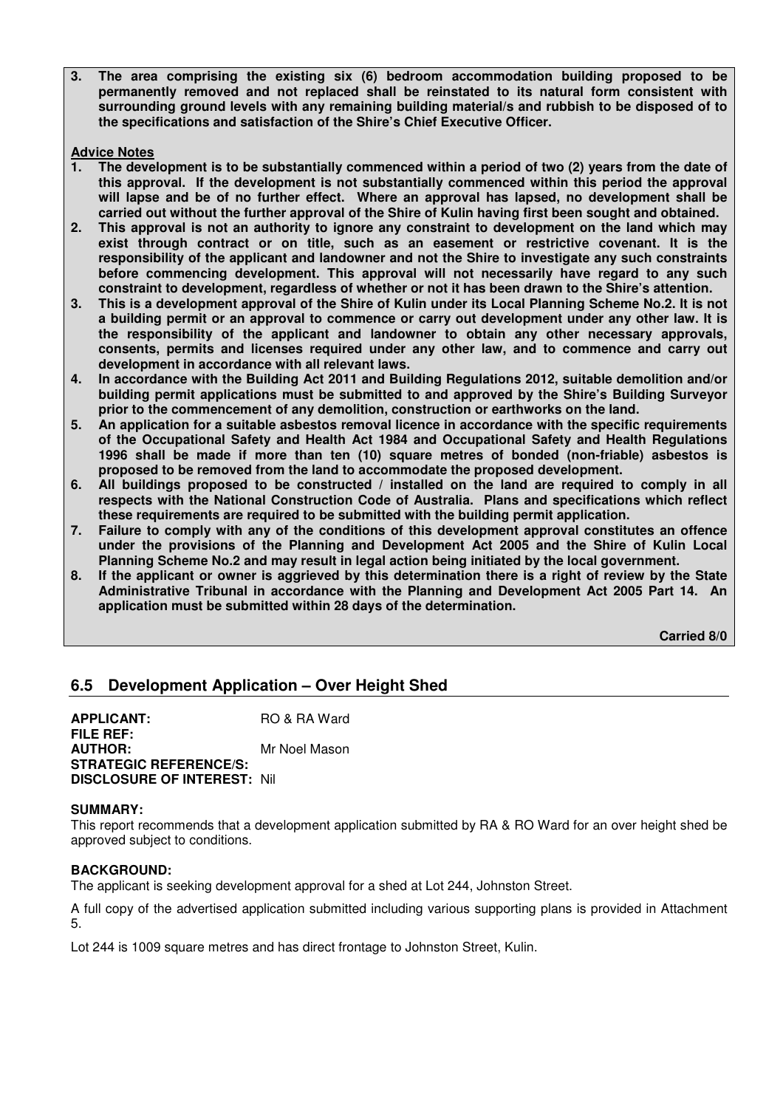**3. The area comprising the existing six (6) bedroom accommodation building proposed to be permanently removed and not replaced shall be reinstated to its natural form consistent with surrounding ground levels with any remaining building material/s and rubbish to be disposed of to the specifications and satisfaction of the Shire's Chief Executive Officer.** 

## **Advice Notes**

- **1. The development is to be substantially commenced within a period of two (2) years from the date of this approval. If the development is not substantially commenced within this period the approval will lapse and be of no further effect. Where an approval has lapsed, no development shall be carried out without the further approval of the Shire of Kulin having first been sought and obtained.**
- **2. This approval is not an authority to ignore any constraint to development on the land which may exist through contract or on title, such as an easement or restrictive covenant. It is the responsibility of the applicant and landowner and not the Shire to investigate any such constraints before commencing development. This approval will not necessarily have regard to any such constraint to development, regardless of whether or not it has been drawn to the Shire's attention.**
- **3. This is a development approval of the Shire of Kulin under its Local Planning Scheme No.2. It is not a building permit or an approval to commence or carry out development under any other law. It is the responsibility of the applicant and landowner to obtain any other necessary approvals, consents, permits and licenses required under any other law, and to commence and carry out development in accordance with all relevant laws.**
- **4. In accordance with the Building Act 2011 and Building Regulations 2012, suitable demolition and/or building permit applications must be submitted to and approved by the Shire's Building Surveyor prior to the commencement of any demolition, construction or earthworks on the land.**
- **5. An application for a suitable asbestos removal licence in accordance with the specific requirements of the Occupational Safety and Health Act 1984 and Occupational Safety and Health Regulations 1996 shall be made if more than ten (10) square metres of bonded (non-friable) asbestos is proposed to be removed from the land to accommodate the proposed development.**
- **6. All buildings proposed to be constructed / installed on the land are required to comply in all respects with the National Construction Code of Australia. Plans and specifications which reflect these requirements are required to be submitted with the building permit application.**
- **7. Failure to comply with any of the conditions of this development approval constitutes an offence under the provisions of the Planning and Development Act 2005 and the Shire of Kulin Local Planning Scheme No.2 and may result in legal action being initiated by the local government.**
- **8. If the applicant or owner is aggrieved by this determination there is a right of review by the State Administrative Tribunal in accordance with the Planning and Development Act 2005 Part 14. An application must be submitted within 28 days of the determination.**

 **Carried 8/0** 

## **6.5 Development Application – Over Height Shed**

**APPLICANT:** RO & RA Ward **FILE REF: AUTHOR:** Mr Noel Mason **STRATEGIC REFERENCE/S: DISCLOSURE OF INTEREST:** Nil

## **SUMMARY:**

This report recommends that a development application submitted by RA & RO Ward for an over height shed be approved subject to conditions.

#### **BACKGROUND:**

The applicant is seeking development approval for a shed at Lot 244, Johnston Street.

A full copy of the advertised application submitted including various supporting plans is provided in Attachment 5.

Lot 244 is 1009 square metres and has direct frontage to Johnston Street, Kulin.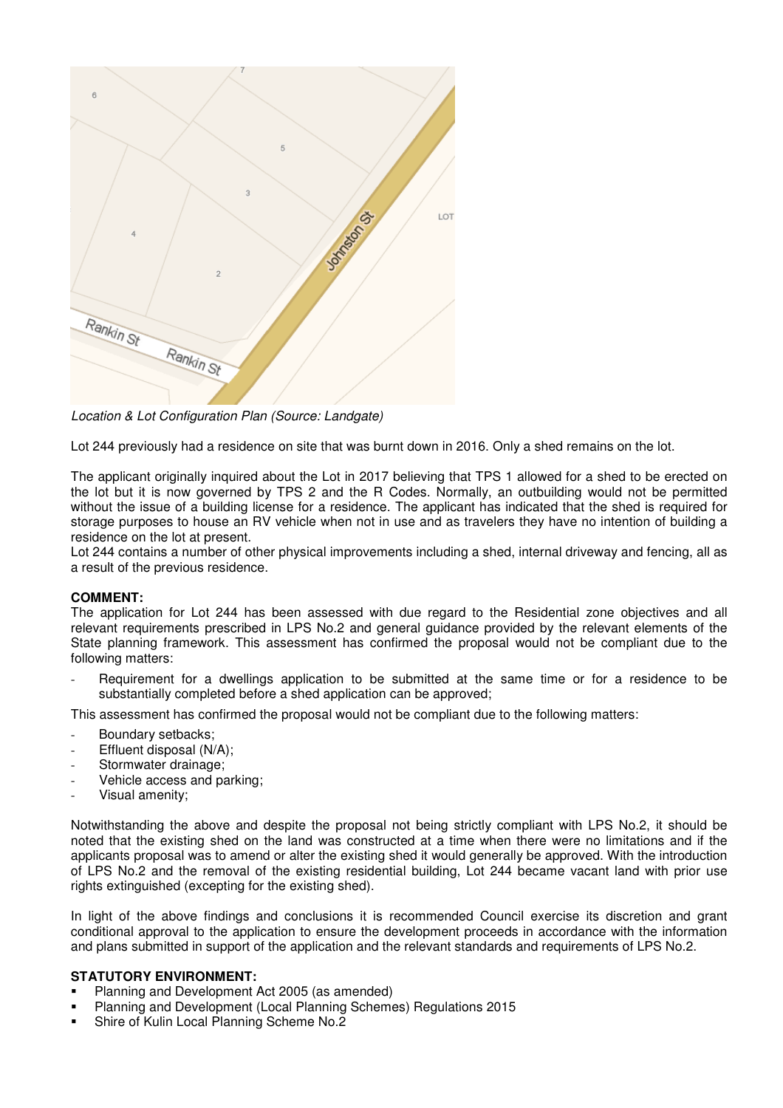

*Location & Lot Configuration Plan (Source: Landgate)* 

Lot 244 previously had a residence on site that was burnt down in 2016. Only a shed remains on the lot.

The applicant originally inquired about the Lot in 2017 believing that TPS 1 allowed for a shed to be erected on the lot but it is now governed by TPS 2 and the R Codes. Normally, an outbuilding would not be permitted without the issue of a building license for a residence. The applicant has indicated that the shed is required for storage purposes to house an RV vehicle when not in use and as travelers they have no intention of building a residence on the lot at present.

Lot 244 contains a number of other physical improvements including a shed, internal driveway and fencing, all as a result of the previous residence.

## **COMMENT:**

The application for Lot 244 has been assessed with due regard to the Residential zone objectives and all relevant requirements prescribed in LPS No.2 and general guidance provided by the relevant elements of the State planning framework. This assessment has confirmed the proposal would not be compliant due to the following matters:

Requirement for a dwellings application to be submitted at the same time or for a residence to be substantially completed before a shed application can be approved;

This assessment has confirmed the proposal would not be compliant due to the following matters:

- Boundary setbacks;
- Effluent disposal (N/A);
- Stormwater drainage:
- Vehicle access and parking:
- Visual amenity:

Notwithstanding the above and despite the proposal not being strictly compliant with LPS No.2, it should be noted that the existing shed on the land was constructed at a time when there were no limitations and if the applicants proposal was to amend or alter the existing shed it would generally be approved. With the introduction of LPS No.2 and the removal of the existing residential building, Lot 244 became vacant land with prior use rights extinguished (excepting for the existing shed).

In light of the above findings and conclusions it is recommended Council exercise its discretion and grant conditional approval to the application to ensure the development proceeds in accordance with the information and plans submitted in support of the application and the relevant standards and requirements of LPS No.2.

## **STATUTORY ENVIRONMENT:**

- Planning and Development Act 2005 (as amended)
- Planning and Development (Local Planning Schemes) Regulations 2015
- Shire of Kulin Local Planning Scheme No.2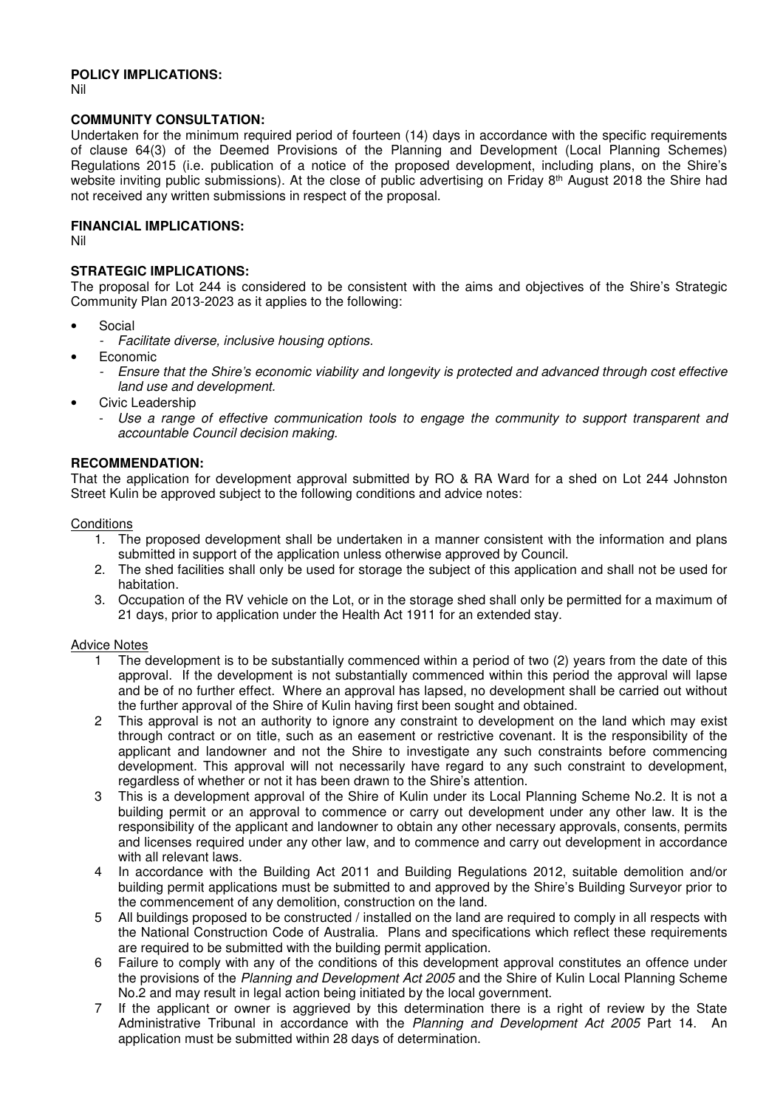## **POLICY IMPLICATIONS:**

Nil

#### **COMMUNITY CONSULTATION:**

Undertaken for the minimum required period of fourteen (14) days in accordance with the specific requirements of clause 64(3) of the Deemed Provisions of the Planning and Development (Local Planning Schemes) Regulations 2015 (i.e. publication of a notice of the proposed development, including plans, on the Shire's website inviting public submissions). At the close of public advertising on Friday 8<sup>th</sup> August 2018 the Shire had not received any written submissions in respect of the proposal.

#### **FINANCIAL IMPLICATIONS:**

Nil

## **STRATEGIC IMPLICATIONS:**

The proposal for Lot 244 is considered to be consistent with the aims and objectives of the Shire's Strategic Community Plan 2013-2023 as it applies to the following:

- **Social** 
	- *Facilitate diverse, inclusive housing options.*
- Economic
	- *Ensure that the Shire's economic viability and longevity is protected and advanced through cost effective land use and development.*
- Civic Leadership
	- *Use a range of effective communication tools to engage the community to support transparent and accountable Council decision making.*

#### **RECOMMENDATION:**

That the application for development approval submitted by RO & RA Ward for a shed on Lot 244 Johnston Street Kulin be approved subject to the following conditions and advice notes:

#### **Conditions**

- 1. The proposed development shall be undertaken in a manner consistent with the information and plans submitted in support of the application unless otherwise approved by Council.
- 2. The shed facilities shall only be used for storage the subject of this application and shall not be used for habitation.
- 3. Occupation of the RV vehicle on the Lot, or in the storage shed shall only be permitted for a maximum of 21 days, prior to application under the Health Act 1911 for an extended stay.

#### Advice Notes

- 1 The development is to be substantially commenced within a period of two (2) years from the date of this approval. If the development is not substantially commenced within this period the approval will lapse and be of no further effect. Where an approval has lapsed, no development shall be carried out without the further approval of the Shire of Kulin having first been sought and obtained.
- 2 This approval is not an authority to ignore any constraint to development on the land which may exist through contract or on title, such as an easement or restrictive covenant. It is the responsibility of the applicant and landowner and not the Shire to investigate any such constraints before commencing development. This approval will not necessarily have regard to any such constraint to development, regardless of whether or not it has been drawn to the Shire's attention.
- 3 This is a development approval of the Shire of Kulin under its Local Planning Scheme No.2. It is not a building permit or an approval to commence or carry out development under any other law. It is the responsibility of the applicant and landowner to obtain any other necessary approvals, consents, permits and licenses required under any other law, and to commence and carry out development in accordance with all relevant laws.
- 4 In accordance with the Building Act 2011 and Building Regulations 2012, suitable demolition and/or building permit applications must be submitted to and approved by the Shire's Building Surveyor prior to the commencement of any demolition, construction on the land.
- 5 All buildings proposed to be constructed / installed on the land are required to comply in all respects with the National Construction Code of Australia. Plans and specifications which reflect these requirements are required to be submitted with the building permit application.
- 6 Failure to comply with any of the conditions of this development approval constitutes an offence under the provisions of the *Planning and Development Act 2005* and the Shire of Kulin Local Planning Scheme No.2 and may result in legal action being initiated by the local government.
- 7 If the applicant or owner is aggrieved by this determination there is a right of review by the State Administrative Tribunal in accordance with the *Planning and Development Act 2005* Part 14. An application must be submitted within 28 days of determination.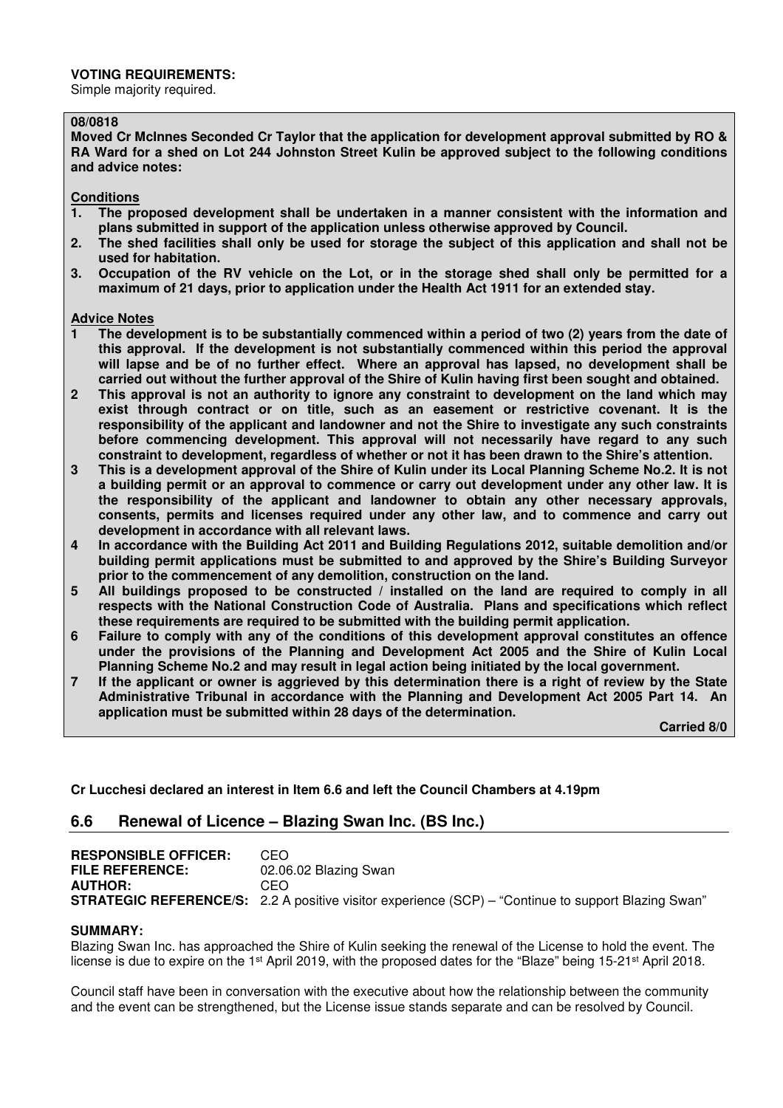#### **VOTING REQUIREMENTS:**

Simple majority required.

#### **08/0818**

**Moved Cr McInnes Seconded Cr Taylor that the application for development approval submitted by RO & RA Ward for a shed on Lot 244 Johnston Street Kulin be approved subject to the following conditions and advice notes:** 

# **Conditions**

- **1. The proposed development shall be undertaken in a manner consistent with the information and plans submitted in support of the application unless otherwise approved by Council.**
- **2. The shed facilities shall only be used for storage the subject of this application and shall not be used for habitation.**
- **3. Occupation of the RV vehicle on the Lot, or in the storage shed shall only be permitted for a maximum of 21 days, prior to application under the Health Act 1911 for an extended stay.**

#### **Advice Notes**

- **1 The development is to be substantially commenced within a period of two (2) years from the date of this approval. If the development is not substantially commenced within this period the approval will lapse and be of no further effect. Where an approval has lapsed, no development shall be carried out without the further approval of the Shire of Kulin having first been sought and obtained.**
- **2 This approval is not an authority to ignore any constraint to development on the land which may exist through contract or on title, such as an easement or restrictive covenant. It is the responsibility of the applicant and landowner and not the Shire to investigate any such constraints before commencing development. This approval will not necessarily have regard to any such constraint to development, regardless of whether or not it has been drawn to the Shire's attention.**
- **3 This is a development approval of the Shire of Kulin under its Local Planning Scheme No.2. It is not a building permit or an approval to commence or carry out development under any other law. It is the responsibility of the applicant and landowner to obtain any other necessary approvals, consents, permits and licenses required under any other law, and to commence and carry out development in accordance with all relevant laws.**
- **4 In accordance with the Building Act 2011 and Building Regulations 2012, suitable demolition and/or building permit applications must be submitted to and approved by the Shire's Building Surveyor prior to the commencement of any demolition, construction on the land.**
- **5 All buildings proposed to be constructed / installed on the land are required to comply in all respects with the National Construction Code of Australia. Plans and specifications which reflect these requirements are required to be submitted with the building permit application.**
- **6 Failure to comply with any of the conditions of this development approval constitutes an offence under the provisions of the Planning and Development Act 2005 and the Shire of Kulin Local Planning Scheme No.2 and may result in legal action being initiated by the local government.**
- **7 If the applicant or owner is aggrieved by this determination there is a right of review by the State Administrative Tribunal in accordance with the Planning and Development Act 2005 Part 14. An application must be submitted within 28 days of the determination.**

 **Carried 8/0** 

**Cr Lucchesi declared an interest in Item 6.6 and left the Council Chambers at 4.19pm** 

## **6.6 Renewal of Licence – Blazing Swan Inc. (BS Inc.)**

| <b>RESPONSIBLE OFFICER:</b> | CEO.                                                                                                       |
|-----------------------------|------------------------------------------------------------------------------------------------------------|
| <b>FILE REFERENCE:</b>      | 02.06.02 Blazing Swan                                                                                      |
| <b>AUTHOR:</b>              | CEO.                                                                                                       |
|                             | <b>STRATEGIC REFERENCE/S:</b> 2.2 A positive visitor experience (SCP) – "Continue to support Blazing Swan" |

#### **SUMMARY:**

Blazing Swan Inc. has approached the Shire of Kulin seeking the renewal of the License to hold the event. The license is due to expire on the 1<sup>st</sup> April 2019, with the proposed dates for the "Blaze" being 15-21<sup>st</sup> April 2018.

Council staff have been in conversation with the executive about how the relationship between the community and the event can be strengthened, but the License issue stands separate and can be resolved by Council.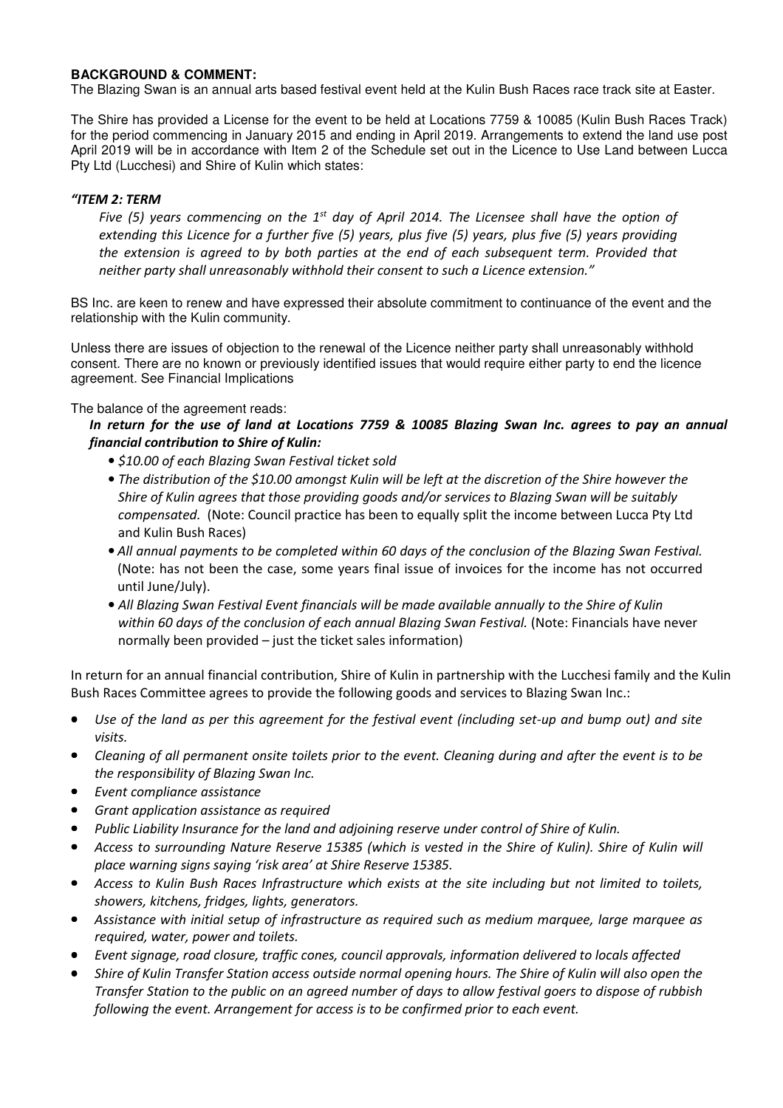## **BACKGROUND & COMMENT:**

The Blazing Swan is an annual arts based festival event held at the Kulin Bush Races race track site at Easter.

The Shire has provided a License for the event to be held at Locations 7759 & 10085 (Kulin Bush Races Track) for the period commencing in January 2015 and ending in April 2019. Arrangements to extend the land use post April 2019 will be in accordance with Item 2 of the Schedule set out in the Licence to Use Land between Lucca Pty Ltd (Lucchesi) and Shire of Kulin which states:

## *"ITEM 2: TERM*

*Five (5) years commencing on the 1st day of April 2014. The Licensee shall have the option of extending this Licence for a further five (5) years, plus five (5) years, plus five (5) years providing the extension is agreed to by both parties at the end of each subsequent term. Provided that neither party shall unreasonably withhold their consent to such a Licence extension."* 

BS Inc. are keen to renew and have expressed their absolute commitment to continuance of the event and the relationship with the Kulin community.

Unless there are issues of objection to the renewal of the Licence neither party shall unreasonably withhold consent. There are no known or previously identified issues that would require either party to end the licence agreement. See Financial Implications

The balance of the agreement reads:

*In return for the use of land at Locations 7759 & 10085 Blazing Swan Inc. agrees to pay an annual financial contribution to Shire of Kulin:* 

- *\$10.00 of each Blazing Swan Festival ticket sold*
- *The distribution of the \$10.00 amongst Kulin will be left at the discretion of the Shire however the Shire of Kulin agrees that those providing goods and/or services to Blazing Swan will be suitably compensated.* (Note: Council practice has been to equally split the income between Lucca Pty Ltd and Kulin Bush Races)
- *All annual payments to be completed within 60 days of the conclusion of the Blazing Swan Festival.*  (Note: has not been the case, some years final issue of invoices for the income has not occurred until June/July).
- *All Blazing Swan Festival Event financials will be made available annually to the Shire of Kulin*  within 60 days of the conclusion of each annual Blazing Swan Festival. (Note: Financials have never normally been provided – just the ticket sales information)

In return for an annual financial contribution, Shire of Kulin in partnership with the Lucchesi family and the Kulin Bush Races Committee agrees to provide the following goods and services to Blazing Swan Inc.:

- *Use of the land as per this agreement for the festival event (including set-up and bump out) and site visits.*
- *Cleaning of all permanent onsite toilets prior to the event. Cleaning during and after the event is to be the responsibility of Blazing Swan Inc.*
- *Event compliance assistance*
- *Grant application assistance as required*
- *Public Liability Insurance for the land and adjoining reserve under control of Shire of Kulin.*
- *Access to surrounding Nature Reserve 15385 (which is vested in the Shire of Kulin). Shire of Kulin will place warning signs saying 'risk area' at Shire Reserve 15385.*
- *Access to Kulin Bush Races Infrastructure which exists at the site including but not limited to toilets, showers, kitchens, fridges, lights, generators.*
- *Assistance with initial setup of infrastructure as required such as medium marquee, large marquee as required, water, power and toilets.*
- *Event signage, road closure, traffic cones, council approvals, information delivered to locals affected*
- *Shire of Kulin Transfer Station access outside normal opening hours. The Shire of Kulin will also open the Transfer Station to the public on an agreed number of days to allow festival goers to dispose of rubbish following the event. Arrangement for access is to be confirmed prior to each event.*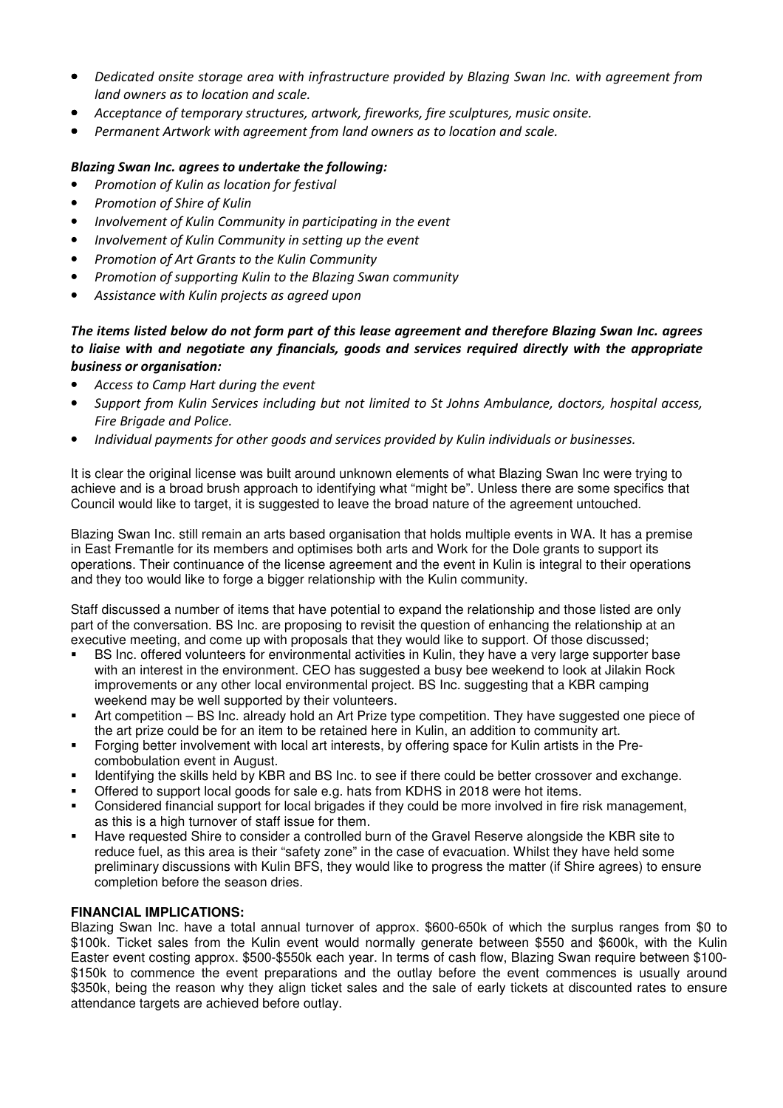- *Dedicated onsite storage area with infrastructure provided by Blazing Swan Inc. with agreement from land owners as to location and scale.*
- *Acceptance of temporary structures, artwork, fireworks, fire sculptures, music onsite.*
- *Permanent Artwork with agreement from land owners as to location and scale.*

## *Blazing Swan Inc. agrees to undertake the following:*

- *Promotion of Kulin as location for festival*
- *Promotion of Shire of Kulin*
- *Involvement of Kulin Community in participating in the event*
- *Involvement of Kulin Community in setting up the event*
- *Promotion of Art Grants to the Kulin Community*
- *Promotion of supporting Kulin to the Blazing Swan community*
- *Assistance with Kulin projects as agreed upon*

## *The items listed below do not form part of this lease agreement and therefore Blazing Swan Inc. agrees to liaise with and negotiate any financials, goods and services required directly with the appropriate business or organisation:*

- *Access to Camp Hart during the event*
- *Support from Kulin Services including but not limited to St Johns Ambulance, doctors, hospital access, Fire Brigade and Police.*
- *Individual payments for other goods and services provided by Kulin individuals or businesses.*

It is clear the original license was built around unknown elements of what Blazing Swan Inc were trying to achieve and is a broad brush approach to identifying what "might be". Unless there are some specifics that Council would like to target, it is suggested to leave the broad nature of the agreement untouched.

Blazing Swan Inc. still remain an arts based organisation that holds multiple events in WA. It has a premise in East Fremantle for its members and optimises both arts and Work for the Dole grants to support its operations. Their continuance of the license agreement and the event in Kulin is integral to their operations and they too would like to forge a bigger relationship with the Kulin community.

Staff discussed a number of items that have potential to expand the relationship and those listed are only part of the conversation. BS Inc. are proposing to revisit the question of enhancing the relationship at an executive meeting, and come up with proposals that they would like to support. Of those discussed;

- BS Inc. offered volunteers for environmental activities in Kulin, they have a very large supporter base with an interest in the environment. CEO has suggested a busy bee weekend to look at Jilakin Rock improvements or any other local environmental project. BS Inc. suggesting that a KBR camping weekend may be well supported by their volunteers.
- Art competition BS Inc. already hold an Art Prize type competition. They have suggested one piece of the art prize could be for an item to be retained here in Kulin, an addition to community art.
- Forging better involvement with local art interests, by offering space for Kulin artists in the Precombobulation event in August.
- Identifying the skills held by KBR and BS Inc. to see if there could be better crossover and exchange.
- Offered to support local goods for sale e.g. hats from KDHS in 2018 were hot items.
- Considered financial support for local brigades if they could be more involved in fire risk management, as this is a high turnover of staff issue for them.
- Have requested Shire to consider a controlled burn of the Gravel Reserve alongside the KBR site to reduce fuel, as this area is their "safety zone" in the case of evacuation. Whilst they have held some preliminary discussions with Kulin BFS, they would like to progress the matter (if Shire agrees) to ensure completion before the season dries.

## **FINANCIAL IMPLICATIONS:**

Blazing Swan Inc. have a total annual turnover of approx. \$600-650k of which the surplus ranges from \$0 to \$100k. Ticket sales from the Kulin event would normally generate between \$550 and \$600k, with the Kulin Easter event costing approx. \$500-\$550k each year. In terms of cash flow, Blazing Swan require between \$100- \$150k to commence the event preparations and the outlay before the event commences is usually around \$350k, being the reason why they align ticket sales and the sale of early tickets at discounted rates to ensure attendance targets are achieved before outlay.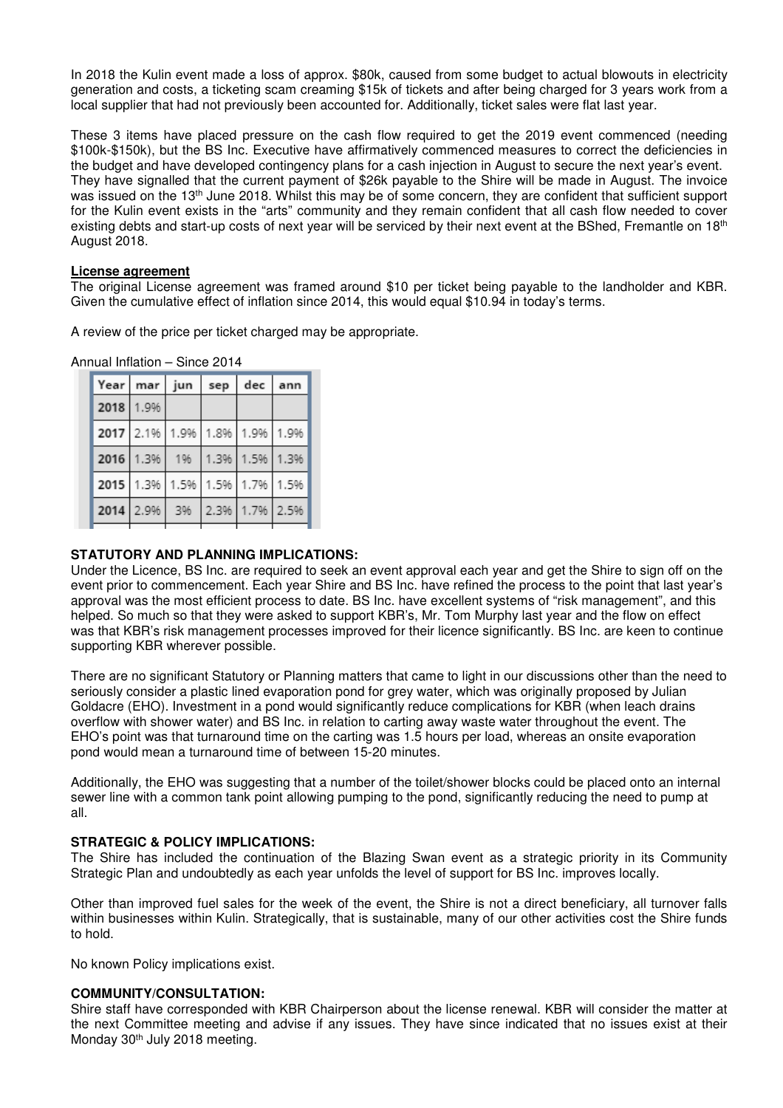In 2018 the Kulin event made a loss of approx. \$80k, caused from some budget to actual blowouts in electricity generation and costs, a ticketing scam creaming \$15k of tickets and after being charged for 3 years work from a local supplier that had not previously been accounted for. Additionally, ticket sales were flat last year.

These 3 items have placed pressure on the cash flow required to get the 2019 event commenced (needing \$100k-\$150k), but the BS Inc. Executive have affirmatively commenced measures to correct the deficiencies in the budget and have developed contingency plans for a cash injection in August to secure the next year's event. They have signalled that the current payment of \$26k payable to the Shire will be made in August. The invoice was issued on the 13<sup>th</sup> June 2018. Whilst this may be of some concern, they are confident that sufficient support for the Kulin event exists in the "arts" community and they remain confident that all cash flow needed to cover existing debts and start-up costs of next year will be serviced by their next event at the BShed. Fremantle on 18<sup>th</sup> August 2018.

#### **License agreement**

The original License agreement was framed around \$10 per ticket being payable to the landholder and KBR. Given the cumulative effect of inflation since 2014, this would equal \$10.94 in today's terms.

A review of the price per ticket charged may be appropriate.

Annual Inflation – Since 2014

| Year mar jun                  |    | sep | dec            | ann |
|-------------------------------|----|-----|----------------|-----|
| 2018 1.9%                     |    |     |                |     |
| 2017 2.1% 1.9% 1.8% 1.9% 1.9% |    |     |                |     |
| 2016 1.3%                     | 1% |     | 1.3% 1.5% 1.3% |     |
| 2015 1.3% 1.5% 1.5% 1.7% 1.5% |    |     |                |     |
| 2014 2.9%                     | 3% |     | 2.3% 1.7% 2.5% |     |

## **STATUTORY AND PLANNING IMPLICATIONS:**

Under the Licence, BS Inc. are required to seek an event approval each year and get the Shire to sign off on the event prior to commencement. Each year Shire and BS Inc. have refined the process to the point that last year's approval was the most efficient process to date. BS Inc. have excellent systems of "risk management", and this helped. So much so that they were asked to support KBR's, Mr. Tom Murphy last year and the flow on effect was that KBR's risk management processes improved for their licence significantly. BS Inc. are keen to continue supporting KBR wherever possible.

There are no significant Statutory or Planning matters that came to light in our discussions other than the need to seriously consider a plastic lined evaporation pond for grey water, which was originally proposed by Julian Goldacre (EHO). Investment in a pond would significantly reduce complications for KBR (when leach drains overflow with shower water) and BS Inc. in relation to carting away waste water throughout the event. The EHO's point was that turnaround time on the carting was 1.5 hours per load, whereas an onsite evaporation pond would mean a turnaround time of between 15-20 minutes.

Additionally, the EHO was suggesting that a number of the toilet/shower blocks could be placed onto an internal sewer line with a common tank point allowing pumping to the pond, significantly reducing the need to pump at all.

#### **STRATEGIC & POLICY IMPLICATIONS:**

The Shire has included the continuation of the Blazing Swan event as a strategic priority in its Community Strategic Plan and undoubtedly as each year unfolds the level of support for BS Inc. improves locally.

Other than improved fuel sales for the week of the event, the Shire is not a direct beneficiary, all turnover falls within businesses within Kulin. Strategically, that is sustainable, many of our other activities cost the Shire funds to hold.

No known Policy implications exist.

## **COMMUNITY/CONSULTATION:**

Shire staff have corresponded with KBR Chairperson about the license renewal. KBR will consider the matter at the next Committee meeting and advise if any issues. They have since indicated that no issues exist at their Monday 30<sup>th</sup> July 2018 meeting.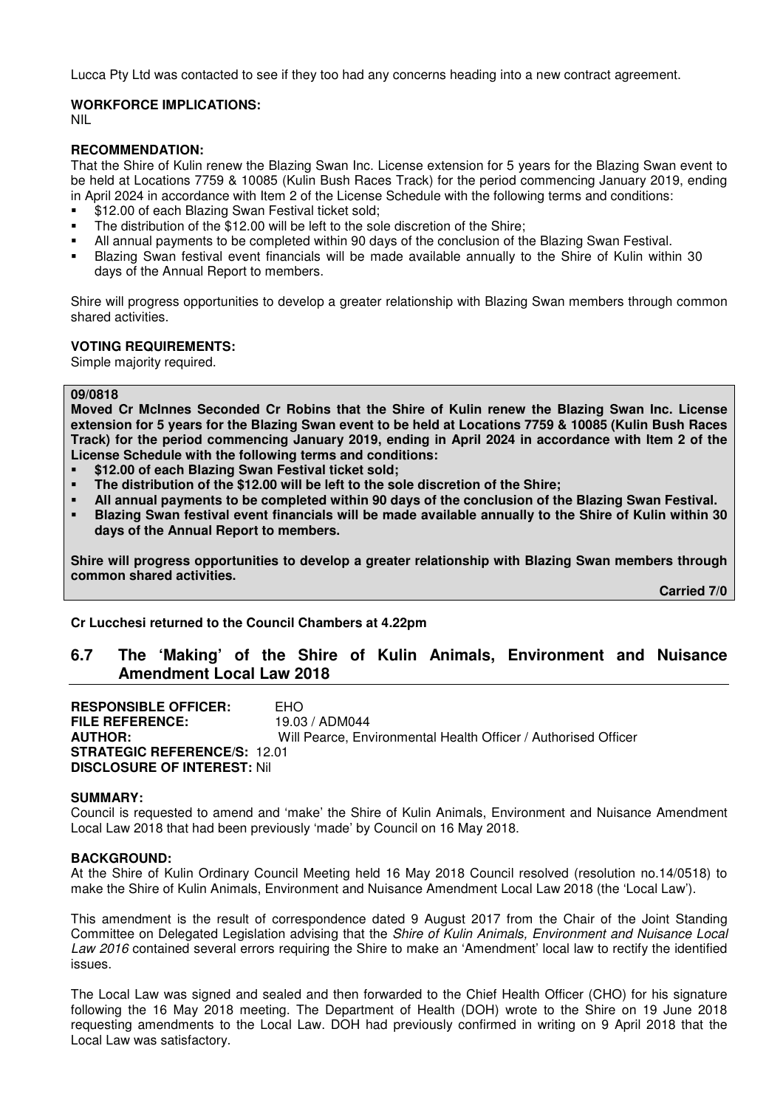Lucca Pty Ltd was contacted to see if they too had any concerns heading into a new contract agreement.

#### **WORKFORCE IMPLICATIONS:**

NIL

#### **RECOMMENDATION:**

That the Shire of Kulin renew the Blazing Swan Inc. License extension for 5 years for the Blazing Swan event to be held at Locations 7759 & 10085 (Kulin Bush Races Track) for the period commencing January 2019, ending in April 2024 in accordance with Item 2 of the License Schedule with the following terms and conditions:

- \$12.00 of each Blazing Swan Festival ticket sold:
- The distribution of the \$12.00 will be left to the sole discretion of the Shire;
- All annual payments to be completed within 90 days of the conclusion of the Blazing Swan Festival.
- Blazing Swan festival event financials will be made available annually to the Shire of Kulin within 30 days of the Annual Report to members.

Shire will progress opportunities to develop a greater relationship with Blazing Swan members through common shared activities.

#### **VOTING REQUIREMENTS:**

Simple majority required.

#### **09/0818**

**Moved Cr McInnes Seconded Cr Robins that the Shire of Kulin renew the Blazing Swan Inc. License extension for 5 years for the Blazing Swan event to be held at Locations 7759 & 10085 (Kulin Bush Races Track) for the period commencing January 2019, ending in April 2024 in accordance with Item 2 of the License Schedule with the following terms and conditions:** 

- **\$12.00 of each Blazing Swan Festival ticket sold;**
- **The distribution of the \$12.00 will be left to the sole discretion of the Shire;**
- **All annual payments to be completed within 90 days of the conclusion of the Blazing Swan Festival.**
- **Blazing Swan festival event financials will be made available annually to the Shire of Kulin within 30 days of the Annual Report to members.**

**Shire will progress opportunities to develop a greater relationship with Blazing Swan members through common shared activities.** 

 **Carried 7/0** 

**Cr Lucchesi returned to the Council Chambers at 4.22pm** 

## **6.7 The 'Making' of the Shire of Kulin Animals, Environment and Nuisance Amendment Local Law 2018**

**RESPONSIBLE OFFICER:** EHO **FILE REFERENCE:** 19.03 / ADM044 **AUTHOR:** Will Pearce, Environmental Health Officer / Authorised Officer **STRATEGIC REFERENCE/S:** 12.01 **DISCLOSURE OF INTEREST:** Nil

#### **SUMMARY:**

Council is requested to amend and 'make' the Shire of Kulin Animals, Environment and Nuisance Amendment Local Law 2018 that had been previously 'made' by Council on 16 May 2018.

#### **BACKGROUND:**

At the Shire of Kulin Ordinary Council Meeting held 16 May 2018 Council resolved (resolution no.14/0518) to make the Shire of Kulin Animals, Environment and Nuisance Amendment Local Law 2018 (the 'Local Law').

This amendment is the result of correspondence dated 9 August 2017 from the Chair of the Joint Standing Committee on Delegated Legislation advising that the *Shire of Kulin Animals, Environment and Nuisance Local Law 2016* contained several errors requiring the Shire to make an 'Amendment' local law to rectify the identified issues.

The Local Law was signed and sealed and then forwarded to the Chief Health Officer (CHO) for his signature following the 16 May 2018 meeting. The Department of Health (DOH) wrote to the Shire on 19 June 2018 requesting amendments to the Local Law. DOH had previously confirmed in writing on 9 April 2018 that the Local Law was satisfactory.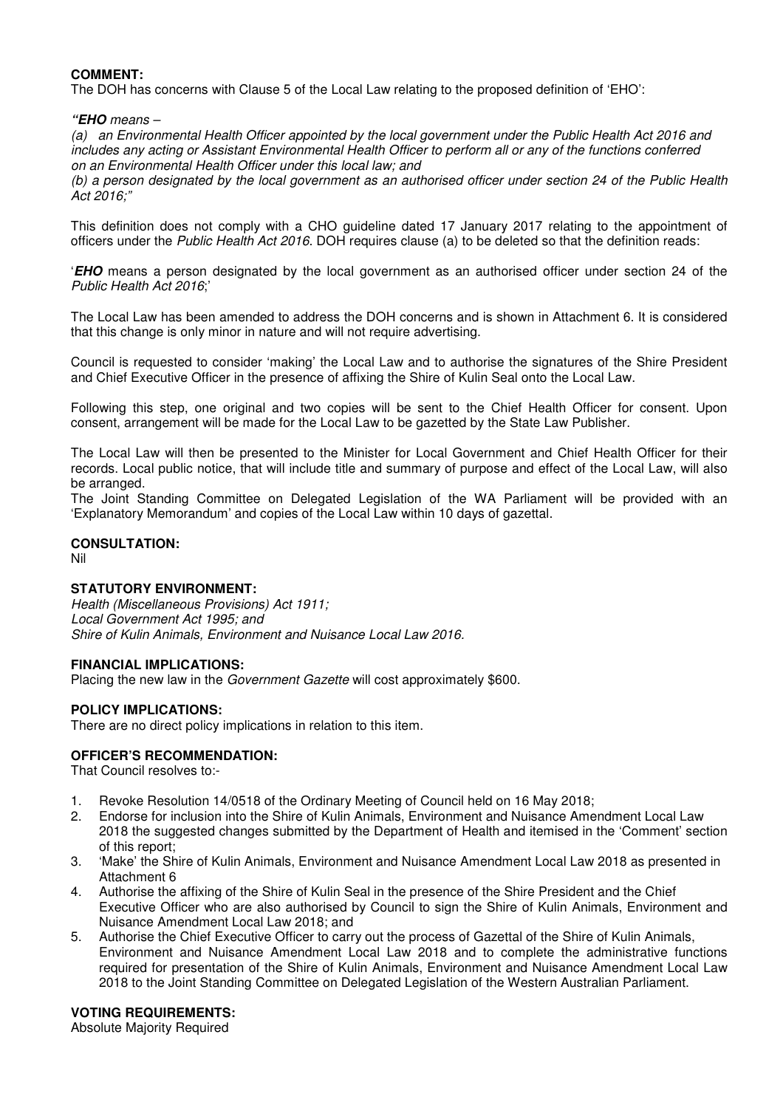## **COMMENT:**

The DOH has concerns with Clause 5 of the Local Law relating to the proposed definition of 'EHO':

#### **"EHO** *means –*

*(a) an Environmental Health Officer appointed by the local government under the Public Health Act 2016 and includes any acting or Assistant Environmental Health Officer to perform all or any of the functions conferred on an Environmental Health Officer under this local law; and* 

*(b) a person designated by the local government as an authorised officer under section 24 of the Public Health Act 2016;"* 

This definition does not comply with a CHO guideline dated 17 January 2017 relating to the appointment of officers under the *Public Health Act 2016*. DOH requires clause (a) to be deleted so that the definition reads:

'**EHO** means a person designated by the local government as an authorised officer under section 24 of the *Public Health Act 2016*;'

The Local Law has been amended to address the DOH concerns and is shown in Attachment 6. It is considered that this change is only minor in nature and will not require advertising.

Council is requested to consider 'making' the Local Law and to authorise the signatures of the Shire President and Chief Executive Officer in the presence of affixing the Shire of Kulin Seal onto the Local Law.

Following this step, one original and two copies will be sent to the Chief Health Officer for consent. Upon consent, arrangement will be made for the Local Law to be gazetted by the State Law Publisher.

The Local Law will then be presented to the Minister for Local Government and Chief Health Officer for their records. Local public notice, that will include title and summary of purpose and effect of the Local Law, will also be arranged.

The Joint Standing Committee on Delegated Legislation of the WA Parliament will be provided with an 'Explanatory Memorandum' and copies of the Local Law within 10 days of gazettal.

## **CONSULTATION:**

Nil

## **STATUTORY ENVIRONMENT:**

*Health (Miscellaneous Provisions) Act 1911; Local Government Act 1995; and Shire of Kulin Animals, Environment and Nuisance Local Law 2016.* 

## **FINANCIAL IMPLICATIONS:**

Placing the new law in the *Government Gazette* will cost approximately \$600.

## **POLICY IMPLICATIONS:**

There are no direct policy implications in relation to this item.

## **OFFICER'S RECOMMENDATION:**

That Council resolves to:-

- 1. Revoke Resolution 14/0518 of the Ordinary Meeting of Council held on 16 May 2018;
- 2. Endorse for inclusion into the Shire of Kulin Animals, Environment and Nuisance Amendment Local Law 2018 the suggested changes submitted by the Department of Health and itemised in the 'Comment' section of this report;
- 3. 'Make' the Shire of Kulin Animals, Environment and Nuisance Amendment Local Law 2018 as presented in Attachment 6
- 4. Authorise the affixing of the Shire of Kulin Seal in the presence of the Shire President and the Chief Executive Officer who are also authorised by Council to sign the Shire of Kulin Animals, Environment and Nuisance Amendment Local Law 2018; and
- 5. Authorise the Chief Executive Officer to carry out the process of Gazettal of the Shire of Kulin Animals, Environment and Nuisance Amendment Local Law 2018 and to complete the administrative functions required for presentation of the Shire of Kulin Animals, Environment and Nuisance Amendment Local Law 2018 to the Joint Standing Committee on Delegated Legislation of the Western Australian Parliament.

#### **VOTING REQUIREMENTS:**

Absolute Majority Required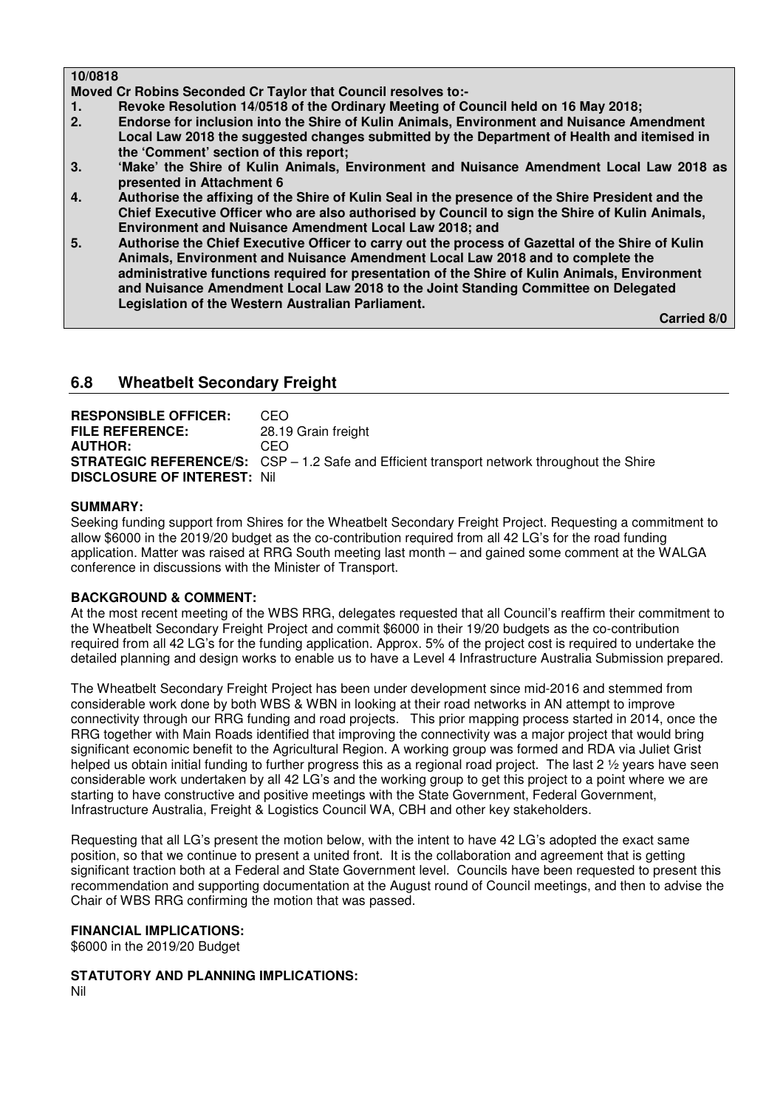## **10/0818**

**Moved Cr Robins Seconded Cr Taylor that Council resolves to:-** 

- **1. Revoke Resolution 14/0518 of the Ordinary Meeting of Council held on 16 May 2018;**
- **2. Endorse for inclusion into the Shire of Kulin Animals, Environment and Nuisance Amendment Local Law 2018 the suggested changes submitted by the Department of Health and itemised in the 'Comment' section of this report;**
- **3. 'Make' the Shire of Kulin Animals, Environment and Nuisance Amendment Local Law 2018 as presented in Attachment 6**
- **4. Authorise the affixing of the Shire of Kulin Seal in the presence of the Shire President and the Chief Executive Officer who are also authorised by Council to sign the Shire of Kulin Animals, Environment and Nuisance Amendment Local Law 2018; and**
- **5. Authorise the Chief Executive Officer to carry out the process of Gazettal of the Shire of Kulin Animals, Environment and Nuisance Amendment Local Law 2018 and to complete the administrative functions required for presentation of the Shire of Kulin Animals, Environment and Nuisance Amendment Local Law 2018 to the Joint Standing Committee on Delegated Legislation of the Western Australian Parliament.**

 **Carried 8/0** 

## **6.8 Wheatbelt Secondary Freight**

**RESPONSIBLE OFFICER:** CEO **FILE REFERENCE:** 28.19 Grain freight **AUTHOR:** CEO **STRATEGIC REFERENCE/S:** CSP – 1.2 Safe and Efficient transport network throughout the Shire **DISCLOSURE OF INTEREST:** Nil

## **SUMMARY:**

Seeking funding support from Shires for the Wheatbelt Secondary Freight Project. Requesting a commitment to allow \$6000 in the 2019/20 budget as the co-contribution required from all 42 LG's for the road funding application. Matter was raised at RRG South meeting last month – and gained some comment at the WALGA conference in discussions with the Minister of Transport.

## **BACKGROUND & COMMENT:**

At the most recent meeting of the WBS RRG, delegates requested that all Council's reaffirm their commitment to the Wheatbelt Secondary Freight Project and commit \$6000 in their 19/20 budgets as the co-contribution required from all 42 LG's for the funding application. Approx. 5% of the project cost is required to undertake the detailed planning and design works to enable us to have a Level 4 Infrastructure Australia Submission prepared.

The Wheatbelt Secondary Freight Project has been under development since mid-2016 and stemmed from considerable work done by both WBS & WBN in looking at their road networks in AN attempt to improve connectivity through our RRG funding and road projects. This prior mapping process started in 2014, once the RRG together with Main Roads identified that improving the connectivity was a major project that would bring significant economic benefit to the Agricultural Region. A working group was formed and RDA via Juliet Grist helped us obtain initial funding to further progress this as a regional road project. The last 2  $\frac{1}{2}$  years have seen considerable work undertaken by all 42 LG's and the working group to get this project to a point where we are starting to have constructive and positive meetings with the State Government, Federal Government, Infrastructure Australia, Freight & Logistics Council WA, CBH and other key stakeholders.

Requesting that all LG's present the motion below, with the intent to have 42 LG's adopted the exact same position, so that we continue to present a united front. It is the collaboration and agreement that is getting significant traction both at a Federal and State Government level. Councils have been requested to present this recommendation and supporting documentation at the August round of Council meetings, and then to advise the Chair of WBS RRG confirming the motion that was passed.

## **FINANCIAL IMPLICATIONS:**

\$6000 in the 2019/20 Budget

**STATUTORY AND PLANNING IMPLICATIONS:**  Nil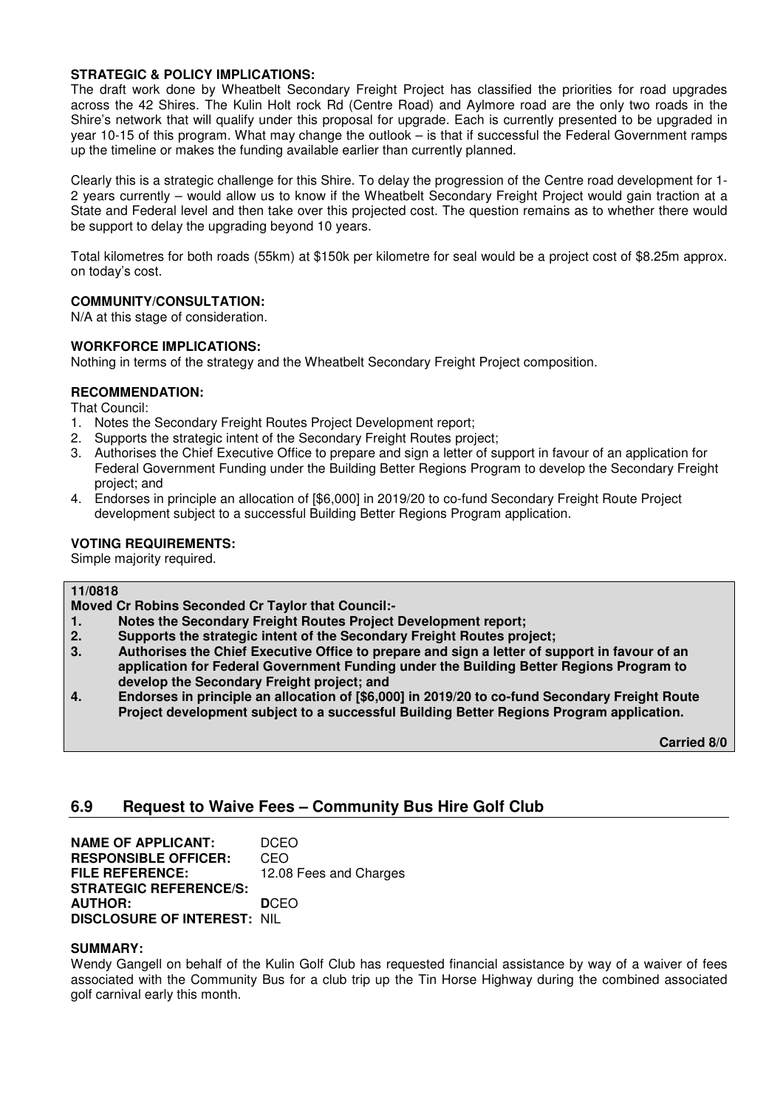## **STRATEGIC & POLICY IMPLICATIONS:**

The draft work done by Wheatbelt Secondary Freight Project has classified the priorities for road upgrades across the 42 Shires. The Kulin Holt rock Rd (Centre Road) and Aylmore road are the only two roads in the Shire's network that will qualify under this proposal for upgrade. Each is currently presented to be upgraded in year 10-15 of this program. What may change the outlook – is that if successful the Federal Government ramps up the timeline or makes the funding available earlier than currently planned.

Clearly this is a strategic challenge for this Shire. To delay the progression of the Centre road development for 1- 2 years currently – would allow us to know if the Wheatbelt Secondary Freight Project would gain traction at a State and Federal level and then take over this projected cost. The question remains as to whether there would be support to delay the upgrading beyond 10 years.

Total kilometres for both roads (55km) at \$150k per kilometre for seal would be a project cost of \$8.25m approx. on today's cost.

## **COMMUNITY/CONSULTATION:**

N/A at this stage of consideration.

## **WORKFORCE IMPLICATIONS:**

Nothing in terms of the strategy and the Wheatbelt Secondary Freight Project composition.

## **RECOMMENDATION:**

That Council:

- 1. Notes the Secondary Freight Routes Project Development report;
- 2. Supports the strategic intent of the Secondary Freight Routes project;
- 3. Authorises the Chief Executive Office to prepare and sign a letter of support in favour of an application for Federal Government Funding under the Building Better Regions Program to develop the Secondary Freight project; and
- 4. Endorses in principle an allocation of [\$6,000] in 2019/20 to co-fund Secondary Freight Route Project development subject to a successful Building Better Regions Program application.

## **VOTING REQUIREMENTS:**

Simple majority required.

#### **11/0818**

**Moved Cr Robins Seconded Cr Taylor that Council:-** 

- **1. Notes the Secondary Freight Routes Project Development report;**
- **2. Supports the strategic intent of the Secondary Freight Routes project;**
- **3. Authorises the Chief Executive Office to prepare and sign a letter of support in favour of an application for Federal Government Funding under the Building Better Regions Program to develop the Secondary Freight project; and**
- **4. Endorses in principle an allocation of [\$6,000] in 2019/20 to co-fund Secondary Freight Route Project development subject to a successful Building Better Regions Program application.**

 **Carried 8/0** 

## **6.9 Request to Waive Fees – Community Bus Hire Golf Club**

**NAME OF APPLICANT: DCEO<br>
<b>RESPONSIBLE OFFICER:** CEO **RESPONSIBLE OFFICER:**<br>FILE REFERENCE: 12.08 Fees and Charges **STRATEGIC REFERENCE/S: AUTHOR: D**CEO **DISCLOSURE OF INTEREST:** NIL

#### **SUMMARY:**

Wendy Gangell on behalf of the Kulin Golf Club has requested financial assistance by way of a waiver of fees associated with the Community Bus for a club trip up the Tin Horse Highway during the combined associated golf carnival early this month.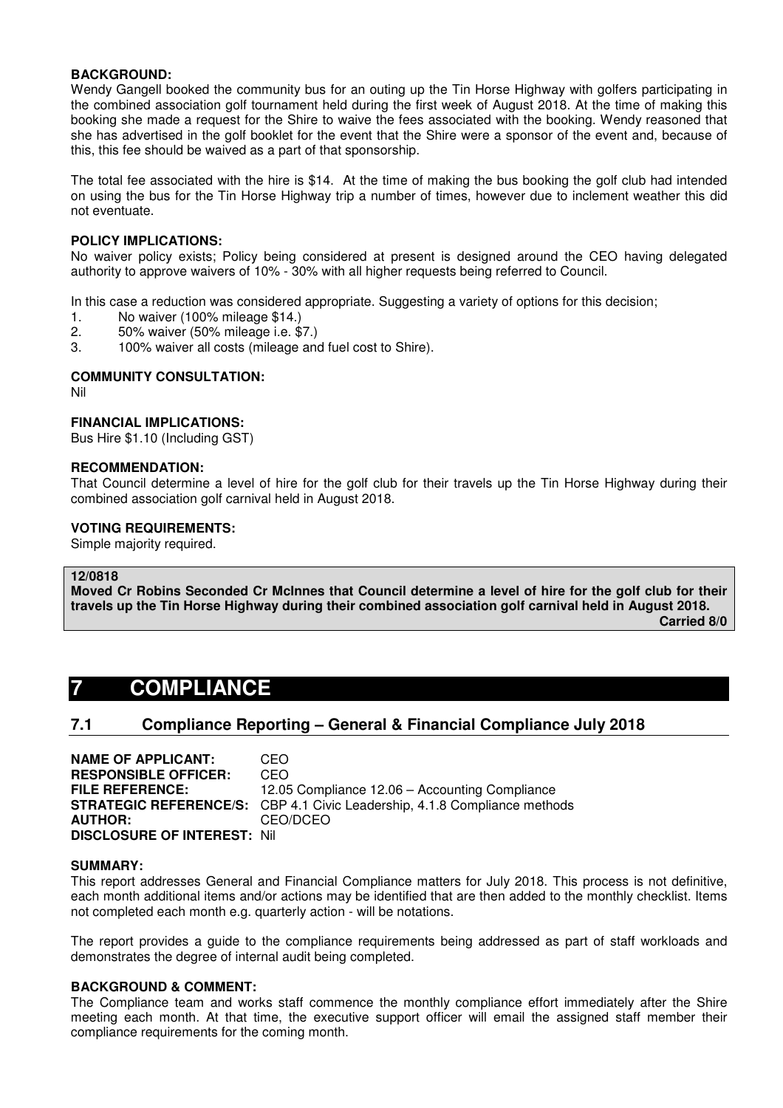#### **BACKGROUND:**

Wendy Gangell booked the community bus for an outing up the Tin Horse Highway with golfers participating in the combined association golf tournament held during the first week of August 2018. At the time of making this booking she made a request for the Shire to waive the fees associated with the booking. Wendy reasoned that she has advertised in the golf booklet for the event that the Shire were a sponsor of the event and, because of this, this fee should be waived as a part of that sponsorship.

The total fee associated with the hire is \$14. At the time of making the bus booking the golf club had intended on using the bus for the Tin Horse Highway trip a number of times, however due to inclement weather this did not eventuate.

#### **POLICY IMPLICATIONS:**

No waiver policy exists; Policy being considered at present is designed around the CEO having delegated authority to approve waivers of 10% - 30% with all higher requests being referred to Council.

In this case a reduction was considered appropriate. Suggesting a variety of options for this decision;

- 1. No waiver (100% mileage \$14.)
- 2. 50% waiver (50% mileage i.e. \$7.)
- 3. 100% waiver all costs (mileage and fuel cost to Shire).

### **COMMUNITY CONSULTATION:**

Nil

#### **FINANCIAL IMPLICATIONS:**

Bus Hire \$1.10 (Including GST)

#### **RECOMMENDATION:**

That Council determine a level of hire for the golf club for their travels up the Tin Horse Highway during their combined association golf carnival held in August 2018.

#### **VOTING REQUIREMENTS:**

Simple majority required.

#### **12/0818**

**Moved Cr Robins Seconded Cr McInnes that Council determine a level of hire for the golf club for their travels up the Tin Horse Highway during their combined association golf carnival held in August 2018.** 

 **Carried 8/0** 

## **7 COMPLIANCE**

## **7.1 Compliance Reporting – General & Financial Compliance July 2018**

**NAME OF APPLICANT:** CEO **RESPONSIBLE OFFICER:** CEO **FILE REFERENCE:** 12.05 Compliance 12.06 – Accounting Compliance **STRATEGIC REFERENCE/S:** CBP 4.1 Civic Leadership, 4.1.8 Compliance methods **AUTHOR:** CEO/DCEO **DISCLOSURE OF INTEREST:** Nil

#### **SUMMARY:**

This report addresses General and Financial Compliance matters for July 2018. This process is not definitive, each month additional items and/or actions may be identified that are then added to the monthly checklist. Items not completed each month e.g. quarterly action - will be notations.

The report provides a guide to the compliance requirements being addressed as part of staff workloads and demonstrates the degree of internal audit being completed.

#### **BACKGROUND & COMMENT:**

The Compliance team and works staff commence the monthly compliance effort immediately after the Shire meeting each month. At that time, the executive support officer will email the assigned staff member their compliance requirements for the coming month.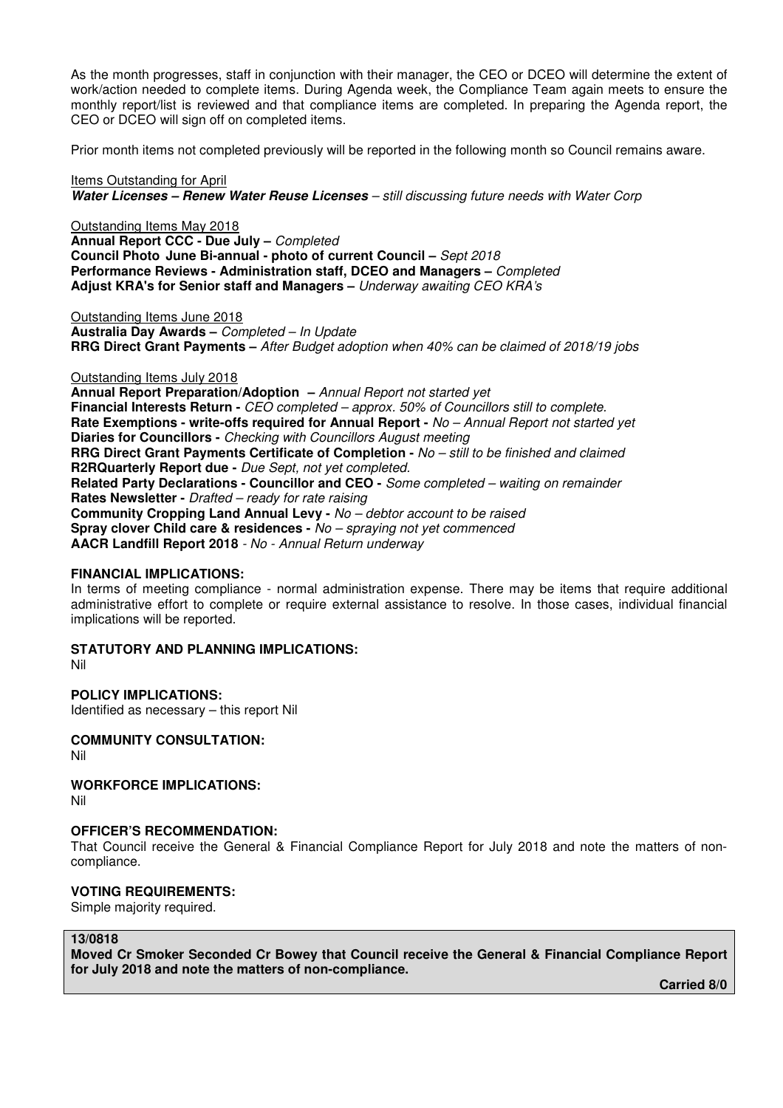As the month progresses, staff in conjunction with their manager, the CEO or DCEO will determine the extent of work/action needed to complete items. During Agenda week, the Compliance Team again meets to ensure the monthly report/list is reviewed and that compliance items are completed. In preparing the Agenda report, the CEO or DCEO will sign off on completed items.

Prior month items not completed previously will be reported in the following month so Council remains aware.

Items Outstanding for April **Water Licenses – Renew Water Reuse Licenses** *– still discussing future needs with Water Corp* 

Outstanding Items May 2018 **Annual Report CCC - Due July –** *Completed*  **Council Photo June Bi-annual - photo of current Council –** *Sept 2018* **Performance Reviews - Administration staff, DCEO and Managers –** *Completed*  **Adjust KRA's for Senior staff and Managers –** *Underway awaiting CEO KRA's* 

Outstanding Items June 2018 **Australia Day Awards –** *Completed – In Update*  **RRG Direct Grant Payments –** *After Budget adoption when 40% can be claimed of 2018/19 jobs*

#### Outstanding Items July 2018

**Annual Report Preparation/Adoption –** *Annual Report not started yet* **Financial Interests Return -** *CEO completed – approx. 50% of Councillors still to complete.* **Rate Exemptions - write-offs required for Annual Report -** *No – Annual Report not started yet* **Diaries for Councillors -** *Checking with Councillors August meeting* **RRG Direct Grant Payments Certificate of Completion -** *No – still to be finished and claimed* **R2RQuarterly Report due -** *Due Sept, not yet completed.* **Related Party Declarations - Councillor and CEO -** *Some completed – waiting on remainder* **Rates Newsletter -** *Drafted – ready for rate raising* **Community Cropping Land Annual Levy -** *No – debtor account to be raised* **Spray clover Child care & residences -** *No – spraying not yet commenced* **AACR Landfill Report 2018** *- No - Annual Return underway* 

#### **FINANCIAL IMPLICATIONS:**

In terms of meeting compliance - normal administration expense. There may be items that require additional administrative effort to complete or require external assistance to resolve. In those cases, individual financial implications will be reported.

## **STATUTORY AND PLANNING IMPLICATIONS:**

Nil

**POLICY IMPLICATIONS:**  Identified as necessary – this report Nil

## **COMMUNITY CONSULTATION:**

Nil

## **WORKFORCE IMPLICATIONS:**

Nil

#### **OFFICER'S RECOMMENDATION:**

That Council receive the General & Financial Compliance Report for July 2018 and note the matters of noncompliance.

## **VOTING REQUIREMENTS:**

Simple majority required.

#### **13/0818**

**Moved Cr Smoker Seconded Cr Bowey that Council receive the General & Financial Compliance Report for July 2018 and note the matters of non-compliance.** 

 **Carried 8/0**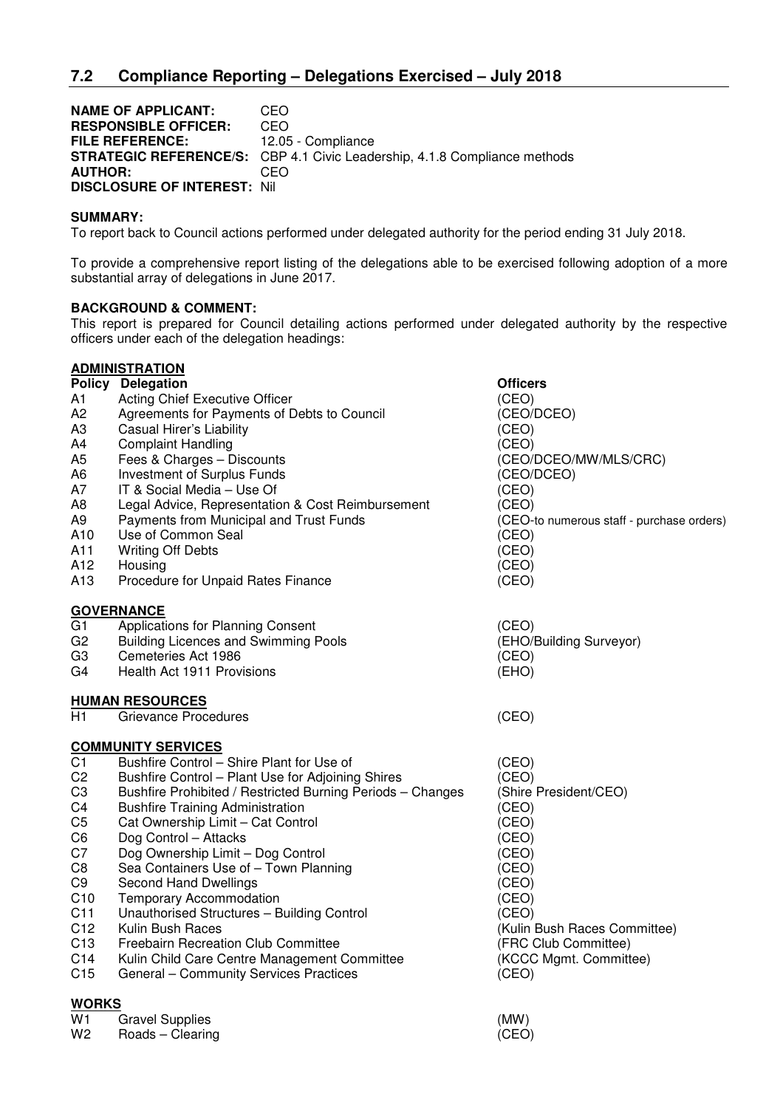**NAME OF APPLICANT: CEO<br>RESPONSIBLE OFFICER: CEO RESPONSIBLE OFFICER: FILE REFERENCE:** 12.05 - Compliance **STRATEGIC REFERENCE/S:** CBP 4.1 Civic Leadership, 4.1.8 Compliance methods **AUTHOR:** CEO **DISCLOSURE OF INTEREST:** Nil

## **SUMMARY:**

To report back to Council actions performed under delegated authority for the period ending 31 July 2018.

To provide a comprehensive report listing of the delegations able to be exercised following adoption of a more substantial array of delegations in June 2017.

## **BACKGROUND & COMMENT:**

This report is prepared for Council detailing actions performed under delegated authority by the respective officers under each of the delegation headings:

|                 | <b>ADMINISTRATION</b>                                      |                                           |
|-----------------|------------------------------------------------------------|-------------------------------------------|
|                 | <b>Policy Delegation</b>                                   | Officers                                  |
| A1              | Acting Chief Executive Officer                             | (CEO)                                     |
| A <sub>2</sub>  | Agreements for Payments of Debts to Council                | (CEO/DCEO)                                |
| A <sub>3</sub>  | Casual Hirer's Liability                                   | (CEO)                                     |
| A4              | <b>Complaint Handling</b>                                  | (CEO)                                     |
| A <sub>5</sub>  | Fees & Charges - Discounts                                 | (CEO/DCEO/MW/MLS/CRC)                     |
| A6              | Investment of Surplus Funds                                | (CEO/DCEO)                                |
| A7              | IT & Social Media - Use Of                                 | (CEO)                                     |
| A <sub>8</sub>  | Legal Advice, Representation & Cost Reimbursement          | (CEO)                                     |
| A <sub>9</sub>  | Payments from Municipal and Trust Funds                    | (CEO-to numerous staff - purchase orders) |
| A10             | Use of Common Seal                                         | (CEO)                                     |
| A11             | <b>Writing Off Debts</b>                                   | (CEO)                                     |
| A12             | Housing                                                    | (CEO)                                     |
| A <sub>13</sub> | Procedure for Unpaid Rates Finance                         | (CEO)                                     |
|                 | <b>GOVERNANCE</b>                                          |                                           |
| G <sub>1</sub>  | Applications for Planning Consent                          | (CEO)                                     |
| G <sub>2</sub>  | <b>Building Licences and Swimming Pools</b>                | (EHO/Building Surveyor)                   |
| G <sub>3</sub>  | Cemeteries Act 1986                                        | (CEO)                                     |
| G4              | Health Act 1911 Provisions                                 | (EHO)                                     |
|                 | <b>HUMAN RESOURCES</b>                                     |                                           |
| H1              | <b>Grievance Procedures</b>                                | (CEO)                                     |
|                 | <b>COMMUNITY SERVICES</b>                                  |                                           |
| C <sub>1</sub>  | Bushfire Control - Shire Plant for Use of                  | (CEO)                                     |
| C <sub>2</sub>  | Bushfire Control - Plant Use for Adjoining Shires          | (CEO)                                     |
| C <sub>3</sub>  | Bushfire Prohibited / Restricted Burning Periods - Changes | (Shire President/CEO)                     |
| C <sub>4</sub>  | <b>Bushfire Training Administration</b>                    | (CEO)                                     |
| C <sub>5</sub>  | Cat Ownership Limit - Cat Control                          | (CEO)                                     |
| C <sub>6</sub>  | Dog Control - Attacks                                      | (CEO)                                     |
| C7              | Dog Ownership Limit - Dog Control                          | (CEO)                                     |
| C <sub>8</sub>  | Sea Containers Use of - Town Planning                      | (CEO)                                     |
| C <sub>9</sub>  | <b>Second Hand Dwellings</b>                               | (CEO)                                     |
| C <sub>10</sub> | <b>Temporary Accommodation</b>                             | (CEO)                                     |
| C <sub>11</sub> | Unauthorised Structures - Building Control                 | (CEO)                                     |
| C <sub>12</sub> | Kulin Bush Races                                           | (Kulin Bush Races Committee)              |
| C <sub>13</sub> | Freebairn Recreation Club Committee                        | (FRC Club Committee)                      |
| C14             | Kulin Child Care Centre Management Committee               | (KCCC Mgmt. Committee)                    |
| C15             | General - Community Services Practices                     | (CEO)                                     |
| <b>WORKS</b>    |                                                            |                                           |

| W1 | Gravel Supplies  | (MW)  |
|----|------------------|-------|
| W2 | Roads – Clearing | (CEO) |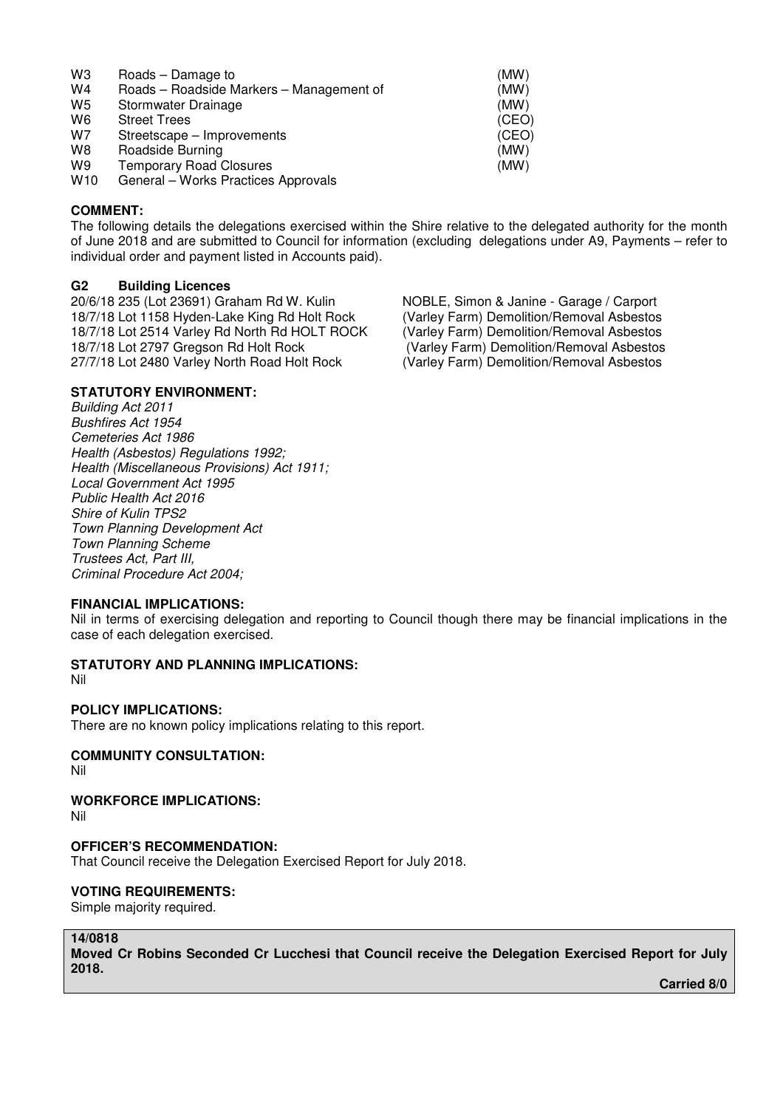| WЗ | Roads – Damage to | (MW) |
|----|-------------------|------|
|    |                   |      |

- W4 Roads Roadside Markers Management of (MW)
- W5 Stormwater Drainage (MW)<br>W6 Street Trees (CEO
- Street Trees (CEO)
- W7 Streetscape Improvements (CEO)
- 
- W8 Roadside Burning<br>
W9 Temporary Road Closures<br>
W9 Temporary Road Closures Temporary Road Closures
- W<sub>10</sub> General Works Practices Approvals

#### **COMMENT:**

The following details the delegations exercised within the Shire relative to the delegated authority for the month of June 2018 and are submitted to Council for information (excluding delegations under A9, Payments – refer to individual order and payment listed in Accounts paid).

## **G2 Building Licences**

20/6/18 235 (Lot 23691) Graham Rd W. Kulin NoBLE, Simon & Janine - Garage / Carport 18/7/18 Lot 1158 Hyden-Lake King Rd Holt Rock (Varley Farm) Demolition/Removal Asbestos 18/7/18 Lot 1158 Hyden-Lake King Rd Holt Rock (Varley Farm) Demolition/Removal Asbestos<br>18/7/18 Lot 2514 Varley Rd North Rd HOLT ROCK (Varley Farm) Demolition/Removal Asbestos 18/7/18 Lot 2514 Varley Rd North Rd HOLT ROCK 18/7/18 Lot 2797 Gregson Rd Holt Rock (Varley Farm) Demolition/Removal Asbestos 27/7/18 Lot 2480 Varley North Road Holt Rock (Varley Farm) Demolition/Removal Asbestos

## **STATUTORY ENVIRONMENT:**

*Building Act 2011 Bushfires Act 1954 Cemeteries Act 1986 Health (Asbestos) Regulations 1992; Health (Miscellaneous Provisions) Act 1911; Local Government Act 1995 Public Health Act 2016 Shire of Kulin TPS2 Town Planning Development Act Town Planning Scheme Trustees Act, Part III, Criminal Procedure Act 2004;* 

#### **FINANCIAL IMPLICATIONS:**

Nil in terms of exercising delegation and reporting to Council though there may be financial implications in the case of each delegation exercised.

**STATUTORY AND PLANNING IMPLICATIONS:**  Nil

#### **POLICY IMPLICATIONS:**

There are no known policy implications relating to this report.

## **COMMUNITY CONSULTATION:**

Nil

**WORKFORCE IMPLICATIONS:** 

Nil

#### **OFFICER'S RECOMMENDATION:**

That Council receive the Delegation Exercised Report for July 2018.

#### **VOTING REQUIREMENTS:**

Simple majority required.

#### **14/0818**

**Moved Cr Robins Seconded Cr Lucchesi that Council receive the Delegation Exercised Report for July 2018.** 

 **Carried 8/0**